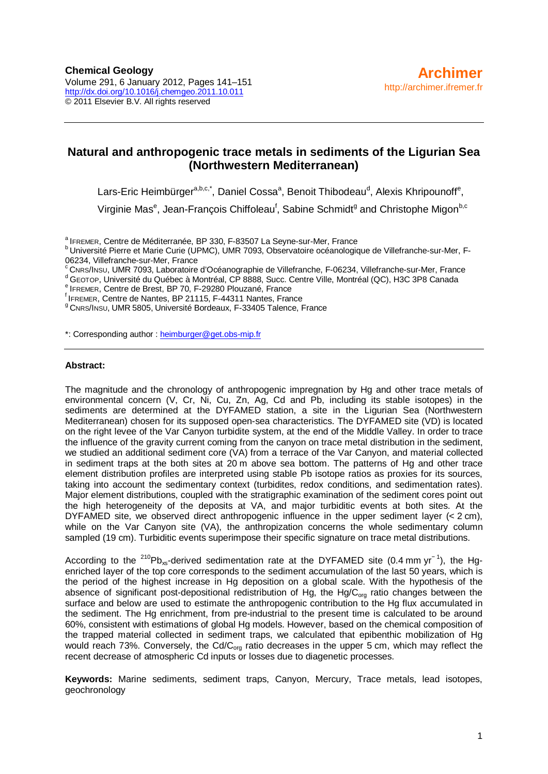# **Natural and anthropogenic trace metals in sediments of the Ligurian Sea (Northwestern Mediterranean)**

Lars-Eric Heimbürger<sup>a,b,c,\*</sup>, Daniel Cossa<sup>a</sup>, Benoit Thibodeau<sup>d</sup>, Alexis Khripounoff<sup>e</sup>,

Virginie Mas<sup>e</sup>, Jean-François Chiffoleau<sup>f</sup>, Sabine Schmidt<sup>g</sup> and Christophe Migon<sup>b,c</sup>

<sup>a</sup> IFREMER, Centre de Méditerranée, BP 330, F-83507 La Seyne-sur-Mer, France<br><sup>b</sup> Université Pierre et Marie Curie (UPMC), UMR 7093, Observatoire océanologique de Villefranche-sur-Mer, F-<br>06234, Villefranche-sur-Mer, Franc

<sup>c</sup> CNRS/INSU, UMR 7093, Laboratoire d'Océanographie de Villefranche, F-06234, Villefranche-sur-Mer, France<br>d'GEOTOP, Université du Québec à Montréal, CP 8888, Succ. Centre Ville, Montréal (QC), H3C 3P8 Canada<br>e IFREMER, C

<sup>9</sup> CNRS/INSU, UMR 5805, Université Bordeaux, F-33405 Talence, France

\*: Corresponding author : heimburger@get.obs-mip.fr

#### **Abstract:**

The magnitude and the chronology of anthropogenic impregnation by Hg and other trace metals of environmental concern (V, Cr, Ni, Cu, Zn, Ag, Cd and Pb, including its stable isotopes) in the sediments are determined at the DYFAMED station, a site in the Ligurian Sea (Northwestern Mediterranean) chosen for its supposed open-sea characteristics. The DYFAMED site (VD) is located on the right levee of the Var Canyon turbidite system, at the end of the Middle Valley. In order to trace the influence of the gravity current coming from the canyon on trace metal distribution in the sediment, we studied an additional sediment core (VA) from a terrace of the Var Canyon, and material collected in sediment traps at the both sites at 20 m above sea bottom. The patterns of Hg and other trace element distribution profiles are interpreted using stable Pb isotope ratios as proxies for its sources, taking into account the sedimentary context (turbidites, redox conditions, and sedimentation rates). Major element distributions, coupled with the stratigraphic examination of the sediment cores point out the high heterogeneity of the deposits at VA, and major turbiditic events at both sites. At the DYFAMED site, we observed direct anthropogenic influence in the upper sediment layer (< 2 cm), while on the Var Canyon site (VA), the anthropization concerns the whole sedimentary column sampled (19 cm). Turbiditic events superimpose their specific signature on trace metal distributions.

According to the <sup>210</sup>Pb<sub>xs</sub>-derived sedimentation rate at the DYFAMED site (0.4 mm yr<sup>-1</sup>), the Hgenriched layer of the top core corresponds to the sediment accumulation of the last 50 years, which is the period of the highest increase in Hg deposition on a global scale. With the hypothesis of the absence of significant post-depositional redistribution of Hg, the Hg/ $C_{\text{ora}}$  ratio changes between the surface and below are used to estimate the anthropogenic contribution to the Hg flux accumulated in the sediment. The Hg enrichment, from pre-industrial to the present time is calculated to be around 60%, consistent with estimations of global Hg models. However, based on the chemical composition of the trapped material collected in sediment traps, we calculated that epibenthic mobilization of Hg would reach 73%. Conversely, the Cd/C<sub>org</sub> ratio decreases in the upper 5 cm, which may reflect the recent decrease of atmospheric Cd inputs or losses due to diagenetic processes.

**Keywords:** Marine sediments, sediment traps, Canyon, Mercury, Trace metals, lead isotopes, geochronology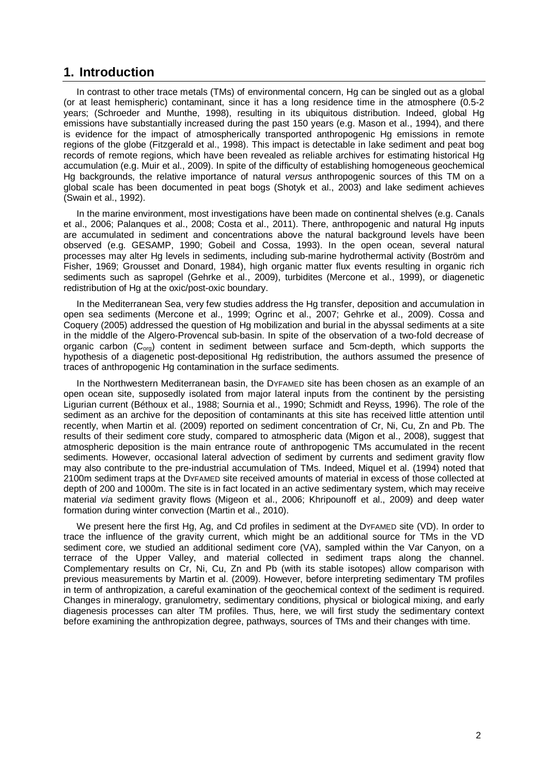## **1. Introduction**

In contrast to other trace metals (TMs) of environmental concern, Hg can be singled out as a global (or at least hemispheric) contaminant, since it has a long residence time in the atmosphere (0.5-2 years; (Schroeder and Munthe, 1998), resulting in its ubiquitous distribution. Indeed, global Hg emissions have substantially increased during the past 150 years (e.g. Mason et al., 1994), and there is evidence for the impact of atmospherically transported anthropogenic Hg emissions in remote regions of the globe (Fitzgerald et al., 1998). This impact is detectable in lake sediment and peat bog records of remote regions, which have been revealed as reliable archives for estimating historical Hg accumulation (e.g. Muir et al., 2009). In spite of the difficulty of establishing homogeneous geochemical Hg backgrounds, the relative importance of natural *versus* anthropogenic sources of this TM on a global scale has been documented in peat bogs (Shotyk et al., 2003) and lake sediment achieves (Swain et al., 1992).

In the marine environment, most investigations have been made on continental shelves (e.g. Canals et al., 2006; Palanques et al., 2008; Costa et al., 2011). There, anthropogenic and natural Hg inputs are accumulated in sediment and concentrations above the natural background levels have been observed (e.g. GESAMP, 1990; Gobeil and Cossa, 1993). In the open ocean, several natural processes may alter Hg levels in sediments, including sub-marine hydrothermal activity (Boström and Fisher, 1969; Grousset and Donard, 1984), high organic matter flux events resulting in organic rich sediments such as sapropel (Gehrke et al., 2009), turbidites (Mercone et al., 1999), or diagenetic redistribution of Hg at the oxic/post-oxic boundary.

In the Mediterranean Sea, very few studies address the Hg transfer, deposition and accumulation in open sea sediments (Mercone et al., 1999; Ogrinc et al., 2007; Gehrke et al., 2009). Cossa and Coquery (2005) addressed the question of Hg mobilization and burial in the abyssal sediments at a site in the middle of the Algero-Provencal sub-basin. In spite of the observation of a two-fold decrease of organic carbon  $(C_{\text{org}})$  content in sediment between surface and 5cm-depth, which supports the hypothesis of a diagenetic post-depositional Hg redistribution, the authors assumed the presence of traces of anthropogenic Hg contamination in the surface sediments.

In the Northwestern Mediterranean basin, the DYFAMED site has been chosen as an example of an open ocean site, supposedly isolated from major lateral inputs from the continent by the persisting Ligurian current (Béthoux et al., 1988; Sournia et al., 1990; Schmidt and Reyss, 1996). The role of the sediment as an archive for the deposition of contaminants at this site has received little attention until recently, when Martin et al. (2009) reported on sediment concentration of Cr, Ni, Cu, Zn and Pb. The results of their sediment core study, compared to atmospheric data (Migon et al., 2008), suggest that atmospheric deposition is the main entrance route of anthropogenic TMs accumulated in the recent sediments. However, occasional lateral advection of sediment by currents and sediment gravity flow may also contribute to the pre-industrial accumulation of TMs. Indeed, Miquel et al. (1994) noted that 2100m sediment traps at the DYFAMED site received amounts of material in excess of those collected at depth of 200 and 1000m. The site is in fact located in an active sedimentary system, which may receive material *via* sediment gravity flows (Migeon et al., 2006; Khripounoff et al., 2009) and deep water formation during winter convection (Martin et al., 2010).

We present here the first Hg, Ag, and Cd profiles in sediment at the DYFAMED site (VD). In order to trace the influence of the gravity current, which might be an additional source for TMs in the VD sediment core, we studied an additional sediment core (VA), sampled within the Var Canyon, on a terrace of the Upper Valley, and material collected in sediment traps along the channel. Complementary results on Cr, Ni, Cu, Zn and Pb (with its stable isotopes) allow comparison with previous measurements by Martin et al. (2009). However, before interpreting sedimentary TM profiles in term of anthropization, a careful examination of the geochemical context of the sediment is required. Changes in mineralogy, granulometry, sedimentary conditions, physical or biological mixing, and early diagenesis processes can alter TM profiles. Thus, here, we will first study the sedimentary context before examining the anthropization degree, pathways, sources of TMs and their changes with time.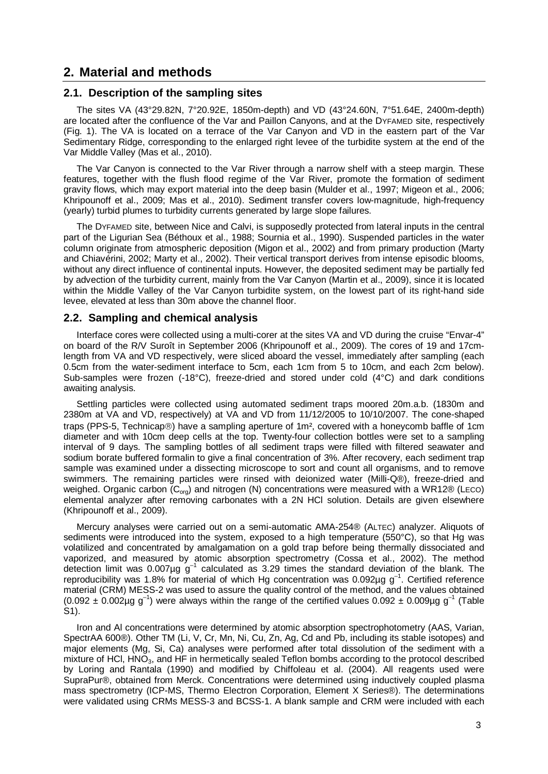# **2. Material and methods**

#### **2.1. Description of the sampling sites**

The sites VA (43°29.82N, 7°20.92E, 1850m-depth) and VD (43°24.60N, 7°51.64E, 2400m-depth) are located after the confluence of the Var and Paillon Canyons, and at the DYFAMED site, respectively (Fig. 1). The VA is located on a terrace of the Var Canyon and VD in the eastern part of the Var Sedimentary Ridge, corresponding to the enlarged right levee of the turbidite system at the end of the Var Middle Valley (Mas et al., 2010).

The Var Canyon is connected to the Var River through a narrow shelf with a steep margin. These features, together with the flush flood regime of the Var River, promote the formation of sediment gravity flows, which may export material into the deep basin (Mulder et al., 1997; Migeon et al., 2006; Khripounoff et al., 2009; Mas et al., 2010). Sediment transfer covers low-magnitude, high-frequency (yearly) turbid plumes to turbidity currents generated by large slope failures.

The DYFAMED site, between Nice and Calvi, is supposedly protected from lateral inputs in the central part of the Ligurian Sea (Béthoux et al., 1988; Sournia et al., 1990). Suspended particles in the water column originate from atmospheric deposition (Migon et al., 2002) and from primary production (Marty and Chiavérini, 2002; Marty et al., 2002). Their vertical transport derives from intense episodic blooms, without any direct influence of continental inputs. However, the deposited sediment may be partially fed by advection of the turbidity current, mainly from the Var Canyon (Martin et al., 2009), since it is located within the Middle Valley of the Var Canyon turbidite system, on the lowest part of its right-hand side levee, elevated at less than 30m above the channel floor.

#### **2.2. Sampling and chemical analysis**

Interface cores were collected using a multi-corer at the sites VA and VD during the cruise "Envar-4" on board of the R/V Suroît in September 2006 (Khripounoff et al., 2009). The cores of 19 and 17cmlength from VA and VD respectively, were sliced aboard the vessel, immediately after sampling (each 0.5cm from the water-sediment interface to 5cm, each 1cm from 5 to 10cm, and each 2cm below). Sub-samples were frozen (-18°C), freeze-dried and stored under cold (4°C) and dark conditions awaiting analysis.

Settling particles were collected using automated sediment traps moored 20m.a.b. (1830m and 2380m at VA and VD, respectively) at VA and VD from 11/12/2005 to 10/10/2007. The cone-shaped traps (PPS-5, Technicap $\circledcirc$ ) have a sampling aperture of 1m<sup>2</sup>, covered with a honeycomb baffle of 1cm diameter and with 10cm deep cells at the top. Twenty-four collection bottles were set to a sampling interval of 9 days. The sampling bottles of all sediment traps were filled with filtered seawater and sodium borate buffered formalin to give a final concentration of 3%. After recovery, each sediment trap sample was examined under a dissecting microscope to sort and count all organisms, and to remove swimmers. The remaining particles were rinsed with deionized water (Milli-Q®), freeze-dried and weighed. Organic carbon  $(C_{\text{ora}})$  and nitrogen (N) concentrations were measured with a WR12® (LECO) elemental analyzer after removing carbonates with a 2N HCl solution. Details are given elsewhere (Khripounoff et al., 2009).

Mercury analyses were carried out on a semi-automatic AMA-254® (ALTEC) analyzer. Aliquots of sediments were introduced into the system, exposed to a high temperature (550°C), so that Hg was volatilized and concentrated by amalgamation on a gold trap before being thermally dissociated and vaporized, and measured by atomic absorption spectrometry (Cossa et al., 2002). The method detection limit was 0.007µg  $g^{-1}$  calculated as 3.29 times the standard deviation of the blank. The reproducibility was 1.8% for material of which Hg concentration was 0.092 $\mu$ g g<sup>-1</sup>. Certified reference material (CRM) MESS-2 was used to assure the quality control of the method, and the values obtained  $(0.092 \pm 0.002 \mu g g^{-1})$  were always within the range of the certified values  $0.092 \pm 0.009 \mu g g^{-1}$  (Table S1).

Iron and AI concentrations were determined by atomic absorption spectrophotometry (AAS, Varian, SpectrAA 600®). Other TM (Li, V, Cr, Mn, Ni, Cu, Zn, Ag, Cd and Pb, including its stable isotopes) and major elements (Mg, Si, Ca) analyses were performed after total dissolution of the sediment with a mixture of HCl, HNO3, and HF in hermetically sealed Teflon bombs according to the protocol described by Loring and Rantala (1990) and modified by Chiffoleau et al. (2004). All reagents used were SupraPur®, obtained from Merck. Concentrations were determined using inductively coupled plasma mass spectrometry (ICP-MS, Thermo Electron Corporation, Element X Series®). The determinations were validated using CRMs MESS-3 and BCSS-1. A blank sample and CRM were included with each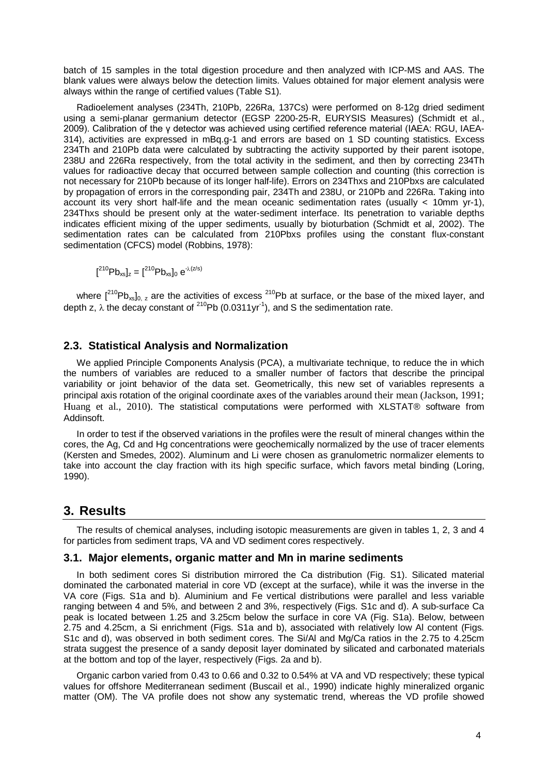batch of 15 samples in the total digestion procedure and then analyzed with ICP-MS and AAS. The blank values were always below the detection limits. Values obtained for major element analysis were always within the range of certified values (Table S1).

Radioelement analyses (234Th, 210Pb, 226Ra, 137Cs) were performed on 8-12g dried sediment using a semi-planar germanium detector (EGSP 2200-25-R, EURYSIS Measures) (Schmidt et al., 2009). Calibration of the γ detector was achieved using certified reference material (IAEA: RGU, IAEA-314), activities are expressed in mBq.g-1 and errors are based on 1 SD counting statistics. Excess 234Th and 210Pb data were calculated by subtracting the activity supported by their parent isotope, 238U and 226Ra respectively, from the total activity in the sediment, and then by correcting 234Th values for radioactive decay that occurred between sample collection and counting (this correction is not necessary for 210Pb because of its longer half-life). Errors on 234Thxs and 210Pbxs are calculated by propagation of errors in the corresponding pair, 234Th and 238U, or 210Pb and 226Ra. Taking into account its very short half-life and the mean oceanic sedimentation rates (usually  $\lt$  10mm yr-1), 234Thxs should be present only at the water-sediment interface. Its penetration to variable depths indicates efficient mixing of the upper sediments, usually by bioturbation (Schmidt et al, 2002). The sedimentation rates can be calculated from 210Pbxs profiles using the constant flux-constant sedimentation (CFCS) model (Robbins, 1978):

$$
[{}^{210}Pb_{xs}]_z = [{}^{210}Pb_{xs}]_0 e^{-\lambda(z/s)}
$$

where  $[{}^{210}Pb_{xs}]_{0, z}$  are the activities of excess  ${}^{210}Pb$  at surface, or the base of the mixed layer, and depth z,  $\lambda$  the decay constant of <sup>210</sup>Pb (0.0311yr<sup>-1</sup>), and S the sedimentation rate.

## **2.3. Statistical Analysis and Normalization**

We applied Principle Components Analysis (PCA), a multivariate technique, to reduce the in which the numbers of variables are reduced to a smaller number of factors that describe the principal variability or joint behavior of the data set. Geometrically, this new set of variables represents a principal axis rotation of the original coordinate axes of the variables around their mean (Jackson, 1991; Huang et al., 2010). The statistical computations were performed with XLSTAT® software from Addinsoft.

In order to test if the observed variations in the profiles were the result of mineral changes within the cores, the Ag, Cd and Hg concentrations were geochemically normalized by the use of tracer elements (Kersten and Smedes, 2002). Aluminum and Li were chosen as granulometric normalizer elements to take into account the clay fraction with its high specific surface, which favors metal binding (Loring, 1990).

## **3. Results**

The results of chemical analyses, including isotopic measurements are given in tables 1, 2, 3 and 4 for particles from sediment traps, VA and VD sediment cores respectively.

#### **3.1. Major elements, organic matter and Mn in marine sediments**

In both sediment cores Si distribution mirrored the Ca distribution (Fig. S1). Silicated material dominated the carbonated material in core VD (except at the surface), while it was the inverse in the VA core (Figs. S1a and b). Aluminium and Fe vertical distributions were parallel and less variable ranging between 4 and 5%, and between 2 and 3%, respectively (Figs. S1c and d). A sub-surface Ca peak is located between 1.25 and 3.25cm below the surface in core VA (Fig. S1a). Below, between 2.75 and 4.25cm, a Si enrichment (Figs. S1a and b), associated with relatively low Al content (Figs. S1c and d), was observed in both sediment cores. The Si/Al and Mg/Ca ratios in the 2.75 to 4.25cm strata suggest the presence of a sandy deposit layer dominated by silicated and carbonated materials at the bottom and top of the layer, respectively (Figs. 2a and b).

Organic carbon varied from 0.43 to 0.66 and 0.32 to 0.54% at VA and VD respectively; these typical values for offshore Mediterranean sediment (Buscail et al., 1990) indicate highly mineralized organic matter (OM). The VA profile does not show any systematic trend, whereas the VD profile showed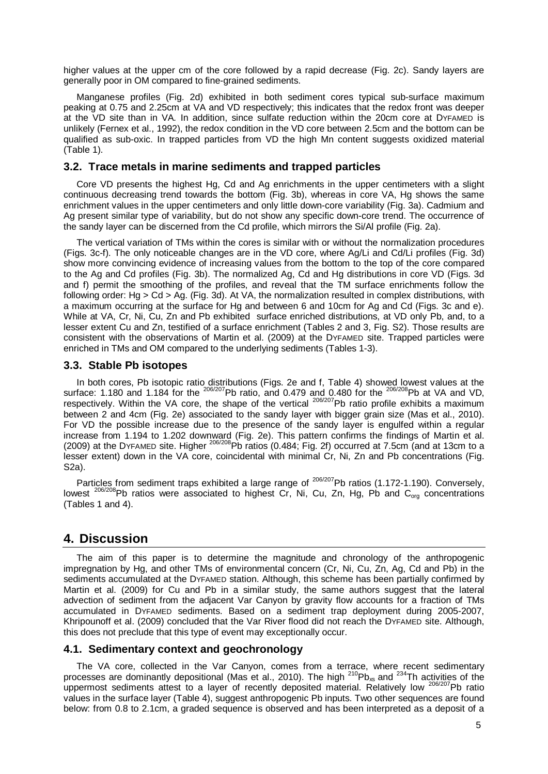higher values at the upper cm of the core followed by a rapid decrease (Fig. 2c). Sandy layers are generally poor in OM compared to fine-grained sediments.

Manganese profiles (Fig. 2d) exhibited in both sediment cores typical sub-surface maximum peaking at 0.75 and 2.25cm at VA and VD respectively; this indicates that the redox front was deeper at the VD site than in VA*.* In addition, since sulfate reduction within the 20cm core at DYFAMED is unlikely (Fernex et al., 1992), the redox condition in the VD core between 2.5cm and the bottom can be qualified as sub-oxic. In trapped particles from VD the high Mn content suggests oxidized material (Table 1).

## **3.2. Trace metals in marine sediments and trapped particles**

Core VD presents the highest Hg, Cd and Ag enrichments in the upper centimeters with a slight continuous decreasing trend towards the bottom (Fig. 3b), whereas in core VA, Hg shows the same enrichment values in the upper centimeters and only little down-core variability (Fig. 3a). Cadmium and Ag present similar type of variability, but do not show any specific down-core trend. The occurrence of the sandy layer can be discerned from the Cd profile, which mirrors the Si/Al profile (Fig. 2a).

The vertical variation of TMs within the cores is similar with or without the normalization procedures (Figs. 3c-f). The only noticeable changes are in the VD core, where Ag/Li and Cd/Li profiles (Fig. 3d) show more convincing evidence of increasing values from the bottom to the top of the core compared to the Ag and Cd profiles (Fig. 3b). The normalized Ag, Cd and Hg distributions in core VD (Figs. 3d and f) permit the smoothing of the profiles, and reveal that the TM surface enrichments follow the following order: Hg > Cd > Ag. (Fig. 3d). At VA, the normalization resulted in complex distributions, with a maximum occurring at the surface for Hg and between 6 and 10cm for Ag and Cd (Figs. 3c and e). While at VA, Cr, Ni, Cu, Zn and Pb exhibited surface enriched distributions, at VD only Pb, and, to a lesser extent Cu and Zn, testified of a surface enrichment (Tables 2 and 3, Fig. S2). Those results are consistent with the observations of Martin et al. (2009) at the DYFAMED site. Trapped particles were enriched in TMs and OM compared to the underlying sediments (Tables 1-3).

#### **3.3. Stable Pb isotopes**

In both cores, Pb isotopic ratio distributions (Figs. 2e and f, Table 4) showed lowest values at the surface: 1.180 and 1.184 for the  $^{206/207}$ Pb ratio, and 0.479 and 0.480 for the  $^{206/208}$ Pb at VA and VD, respectively. Within the VA core, the shape of the vertical  $^{206/207}$ Pb ratio profile exhibits a maximum between 2 and 4cm (Fig. 2e) associated to the sandy layer with bigger grain size (Mas et al., 2010). For VD the possible increase due to the presence of the sandy layer is engulfed within a regular increase from 1.194 to 1.202 downward (Fig. 2e). This pattern confirms the findings of Martin et al. (2009) at the DYFAMED site. Higher  $^{206/208}$ Pb ratios (0.484; Fig. 2f) occurred at 7.5cm (and at 13cm to a lesser extent) down in the VA core, coincidental with minimal Cr, Ni, Zn and Pb concentrations (Fig. S2a).

Particles from sediment traps exhibited a large range of  $^{206/207}$ Pb ratios (1.172-1.190). Conversely, lowest  $^{206/208}$ Pb ratios were associated to highest Cr, Ni, Cu, Zn, Hg, Pb and C<sub>org</sub> concentrations (Tables 1 and 4).

# **4. Discussion**

The aim of this paper is to determine the magnitude and chronology of the anthropogenic impregnation by Hg, and other TMs of environmental concern (Cr, Ni, Cu, Zn, Ag, Cd and Pb) in the sediments accumulated at the DYFAMED station. Although, this scheme has been partially confirmed by Martin et al. (2009) for Cu and Pb in a similar study, the same authors suggest that the lateral advection of sediment from the adjacent Var Canyon by gravity flow accounts for a fraction of TMs accumulated in DYFAMED sediments. Based on a sediment trap deployment during 2005-2007, Khripounoff et al. (2009) concluded that the Var River flood did not reach the DYFAMED site. Although, this does not preclude that this type of event may exceptionally occur.

## **4.1. Sedimentary context and geochronology**

The VA core, collected in the Var Canyon, comes from a terrace, where recent sedimentary processes are dominantly depositional (Mas et al., 2010). The high  $^{210}Pb_{xs}$  and  $^{234}$ Th activities of the uppermost sediments attest to a layer of recently deposited material. Relatively low <sup>206/207</sup>Pb ratio values in the surface layer (Table 4), suggest anthropogenic Pb inputs. Two other sequences are found below: from 0.8 to 2.1cm, a graded sequence is observed and has been interpreted as a deposit of a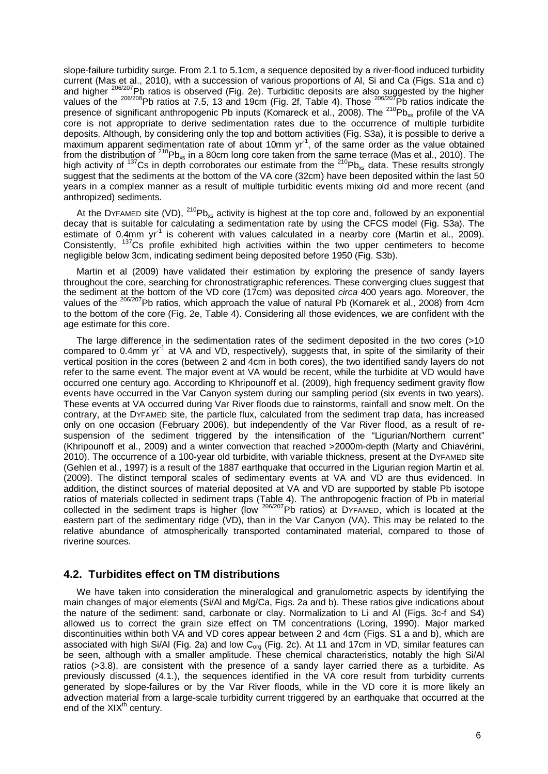slope-failure turbidity surge. From 2.1 to 5.1cm, a sequence deposited by a river-flood induced turbidity current (Mas et al., 2010), with a succession of various proportions of Al, Si and Ca (Figs. S1a and c) and higher <sup>206/207</sup>Pb ratios is observed (Fig. 2e). Turbiditic deposits are also suggested by the higher values of the <sup>206/208</sup>Pb ratios at 7.5, 13 and 19cm (Fig. 2f, Table 4). Those <sup>206/207</sup>Pb ratios indicate the presence of significant anthropogenic Pb inputs (Komareck et al., 2008). The <sup>210</sup>Pb<sub>xs</sub> profile of the VA core is not appropriate to derive sedimentation rates due to the occurrence of multiple turbidite deposits. Although, by considering only the top and bottom activities (Fig. S3a), it is possible to derive a maximum apparent sedimentation rate of about 10mm yr<sup>1</sup>, of the same order as the value obtained from the distribution of <sup>210</sup>Pb<sub>xs</sub> in a 80cm long core taken from the same terrace (Mas et al., 2010). The high activity of <sup>137</sup>Cs in depth corroborates our estimate from the <sup>210</sup>Pb<sub>xs</sub> data. These results strongly suggest that the sediments at the bottom of the VA core (32cm) have been deposited within the last 50 years in a complex manner as a result of multiple turbiditic events mixing old and more recent (and anthropized) sediments.

At the DYFAMED site (VD),  $^{210}Pb_{xs}$  activity is highest at the top core and, followed by an exponential decay that is suitable for calculating a sedimentation rate by using the CFCS model (Fig. S3a). The estimate of 0.4mm yr<sup>-1</sup> is coherent with values calculated in a nearby core (Martin et al., 2009). Consistently, <sup>137</sup>Cs profile exhibited high activities within the two upper centimeters to become negligible below 3cm, indicating sediment being deposited before 1950 (Fig. S3b).

Martin et al (2009) have validated their estimation by exploring the presence of sandy layers throughout the core, searching for chronostratigraphic references. These converging clues suggest that the sediment at the bottom of the VD core (17cm) was deposited *circa* 400 years ago. Moreover, the values of the <sup>206/207</sup>Pb ratios, which approach the value of natural Pb (Komarek et al., 2008) from 4cm to the bottom of the core (Fig. 2e, Table 4). Considering all those evidences, we are confident with the age estimate for this core.

The large difference in the sedimentation rates of the sediment deposited in the two cores (>10 compared to 0.4mm yr<sup>-1</sup> at VA and VD, respectively), suggests that, in spite of the similarity of their vertical position in the cores (between 2 and 4cm in both cores), the two identified sandy layers do not refer to the same event. The major event at VA would be recent, while the turbidite at VD would have occurred one century ago. According to Khripounoff et al. (2009), high frequency sediment gravity flow events have occurred in the Var Canyon system during our sampling period (six events in two years). These events at VA occurred during Var River floods due to rainstorms, rainfall and snow melt. On the contrary, at the DYFAMED site, the particle flux, calculated from the sediment trap data, has increased only on one occasion (February 2006), but independently of the Var River flood, as a result of resuspension of the sediment triggered by the intensification of the "Ligurian/Northern current" (Khripounoff et al., 2009) and a winter convection that reached >2000m-depth (Marty and Chiavérini, 2010). The occurrence of a 100-year old turbidite, with variable thickness, present at the DYFAMED site (Gehlen et al., 1997) is a result of the 1887 earthquake that occurred in the Ligurian region Martin et al. (2009). The distinct temporal scales of sedimentary events at VA and VD are thus evidenced. In addition, the distinct sources of material deposited at VA and VD are supported by stable Pb isotope ratios of materials collected in sediment traps (Table 4). The anthropogenic fraction of Pb in material collected in the sediment traps is higher (low <sup>206/207</sup>Pb ratios) at DYFAMED, which is located at the eastern part of the sedimentary ridge (VD), than in the Var Canyon (VA). This may be related to the relative abundance of atmospherically transported contaminated material, compared to those of riverine sources.

## **4.2. Turbidites effect on TM distributions**

We have taken into consideration the mineralogical and granulometric aspects by identifying the main changes of major elements (Si/Al and Mg/Ca, Figs. 2a and b). These ratios give indications about the nature of the sediment: sand, carbonate or clay. Normalization to Li and Al (Figs. 3c-f and S4) allowed us to correct the grain size effect on TM concentrations (Loring, 1990). Major marked discontinuities within both VA and VD cores appear between 2 and 4cm (Figs. S1 a and b), which are associated with high Si/Al (Fig. 2a) and low  $\text{C}_{\text{org}}$  (Fig. 2c). At 11 and 17cm in VD, similar features can be seen, although with a smaller amplitude. These chemical characteristics, notably the high Si/Al ratios (>3.8), are consistent with the presence of a sandy layer carried there as a turbidite. As previously discussed (4.1.), the sequences identified in the VA core result from turbidity currents generated by slope-failures or by the Var River floods, while in the VD core it is more likely an advection material from a large-scale turbidity current triggered by an earthquake that occurred at the end of the  $XIX<sup>th</sup>$  century.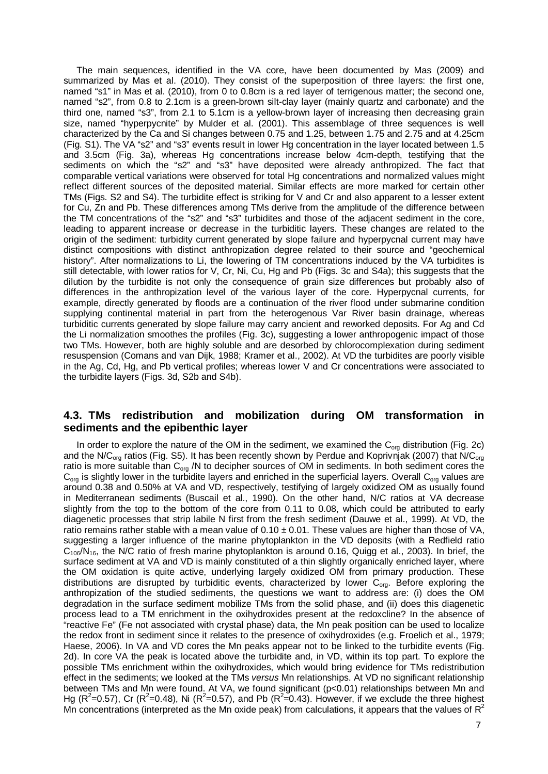The main sequences, identified in the VA core, have been documented by Mas (2009) and summarized by Mas et al. (2010). They consist of the superposition of three layers: the first one, named "s1" in Mas et al. (2010), from 0 to 0.8cm is a red layer of terrigenous matter; the second one, named "s2", from 0.8 to 2.1cm is a green-brown silt-clay layer (mainly quartz and carbonate) and the third one, named "s3", from 2.1 to 5.1cm is a yellow-brown layer of increasing then decreasing grain size, named "hyperpycnite" by Mulder et al. (2001). This assemblage of three sequences is well characterized by the Ca and Si changes between 0.75 and 1.25, between 1.75 and 2.75 and at 4.25cm (Fig. S1). The VA "s2" and "s3" events result in lower Hg concentration in the layer located between 1.5 and 3.5cm (Fig. 3a), whereas Hg concentrations increase below 4cm-depth, testifying that the sediments on which the "s2" and "s3" have deposited were already anthropized. The fact that comparable vertical variations were observed for total Hg concentrations and normalized values might reflect different sources of the deposited material. Similar effects are more marked for certain other TMs (Figs. S2 and S4). The turbidite effect is striking for V and Cr and also apparent to a lesser extent for Cu, Zn and Pb. These differences among TMs derive from the amplitude of the difference between the TM concentrations of the "s2" and "s3" turbidites and those of the adjacent sediment in the core, leading to apparent increase or decrease in the turbiditic layers. These changes are related to the origin of the sediment: turbidity current generated by slope failure and hyperpycnal current may have distinct compositions with distinct anthropization degree related to their source and "geochemical history". After normalizations to Li, the lowering of TM concentrations induced by the VA turbidites is still detectable, with lower ratios for V, Cr, Ni, Cu, Hg and Pb (Figs. 3c and S4a); this suggests that the dilution by the turbidite is not only the consequence of grain size differences but probably also of differences in the anthropization level of the various layer of the core. Hyperpycnal currents, for example, directly generated by floods are a continuation of the river flood under submarine condition supplying continental material in part from the heterogenous Var River basin drainage, whereas turbiditic currents generated by slope failure may carry ancient and reworked deposits. For Ag and Cd the Li normalization smoothes the profiles (Fig. 3c), suggesting a lower anthropogenic impact of those two TMs. However, both are highly soluble and are desorbed by chlorocomplexation during sediment resuspension (Comans and van Dijk, 1988; Kramer et al., 2002). At VD the turbidites are poorly visible in the Ag, Cd, Hg, and Pb vertical profiles; whereas lower V and Cr concentrations were associated to the turbidite layers (Figs. 3d, S2b and S4b).

## **4.3. TMs redistribution and mobilization during OM transformation in sediments and the epibenthic layer**

In order to explore the nature of the OM in the sediment, we examined the  $C_{org}$  distribution (Fig. 2c) and the N/C<sub>org</sub> ratios (Fig. S5). It has been recently shown by Perdue and Koprivnjak (2007) that N/C<sub>org</sub> ratio is more suitable than  $C_{org}$  /N to decipher sources of OM in sediments. In both sediment cores the  $C_{\text{ora}}$  is slightly lower in the turbidite layers and enriched in the superficial layers. Overall  $C_{\text{org}}$  values are around 0.38 and 0.50% at VA and VD, respectively, testifying of largely oxidized OM as usually found in Mediterranean sediments (Buscail et al., 1990). On the other hand, N/C ratios at VA decrease slightly from the top to the bottom of the core from 0.11 to 0.08, which could be attributed to early diagenetic processes that strip labile N first from the fresh sediment (Dauwe et al., 1999). At VD, the ratio remains rather stable with a mean value of  $0.10 \pm 0.01$ . These values are higher than those of VA, suggesting a larger influence of the marine phytoplankton in the VD deposits (with a Redfield ratio  $C_{106}/N_{16}$ , the N/C ratio of fresh marine phytoplankton is around 0.16, Quigg et al., 2003). In brief, the surface sediment at VA and VD is mainly constituted of a thin slightly organically enriched layer, where the OM oxidation is quite active, underlying largely oxidized OM from primary production. These distributions are disrupted by turbiditic events, characterized by lower  $C_{org}$ . Before exploring the anthropization of the studied sediments, the questions we want to address are: (i) does the OM degradation in the surface sediment mobilize TMs from the solid phase, and (ii) does this diagenetic process lead to a TM enrichment in the oxihydroxides present at the redoxcline? In the absence of "reactive Fe" (Fe not associated with crystal phase) data, the Mn peak position can be used to localize the redox front in sediment since it relates to the presence of oxihydroxides (e.g. Froelich et al., 1979; Haese, 2006). In VA and VD cores the Mn peaks appear not to be linked to the turbidite events (Fig. 2d). In core VA the peak is located above the turbidite and, in VD, within its top part. To explore the possible TMs enrichment within the oxihydroxides, which would bring evidence for TMs redistribution effect in the sediments; we looked at the TMs *versus* Mn relationships. At VD no significant relationship between TMs and Mn were found. At VA, we found significant (p<0.01) relationships between Mn and Hg ( $R^2$ =0.57), Cr ( $R^2$ =0.48), Ni ( $R^2$ =0.57), and Pb ( $R^2$ =0.43). However, if we exclude the three highest Mn concentrations (interpreted as the Mn oxide peak) from calculations, it appears that the values of  $R^2$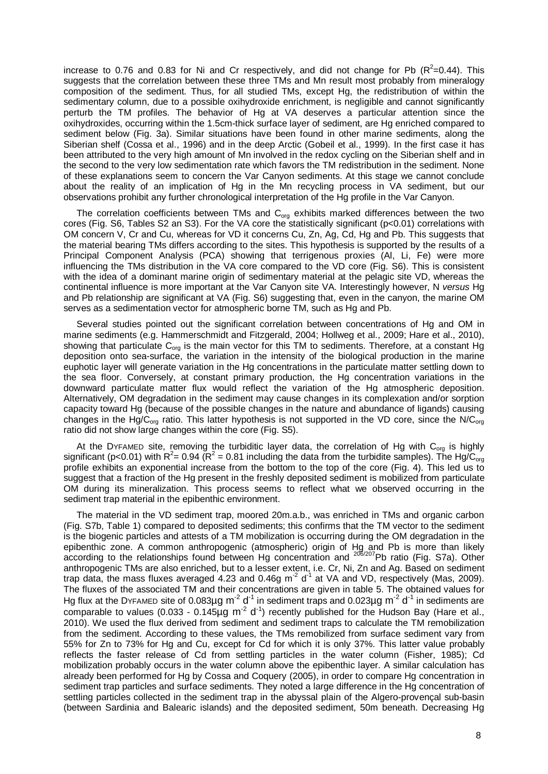increase to 0.76 and 0.83 for Ni and Cr respectively, and did not change for Pb ( $R^2$ =0.44). This suggests that the correlation between these three TMs and Mn result most probably from mineralogy composition of the sediment. Thus, for all studied TMs, except Hg, the redistribution of within the sedimentary column, due to a possible oxihydroxide enrichment, is negligible and cannot significantly perturb the TM profiles. The behavior of Hg at VA deserves a particular attention since the oxihydroxides, occurring within the 1.5cm-thick surface layer of sediment, are Hg enriched compared to sediment below (Fig. 3a). Similar situations have been found in other marine sediments, along the Siberian shelf (Cossa et al., 1996) and in the deep Arctic (Gobeil et al., 1999). In the first case it has been attributed to the very high amount of Mn involved in the redox cycling on the Siberian shelf and in the second to the very low sedimentation rate which favors the TM redistribution in the sediment. None of these explanations seem to concern the Var Canyon sediments. At this stage we cannot conclude about the reality of an implication of Hg in the Mn recycling process in VA sediment, but our observations prohibit any further chronological interpretation of the Hg profile in the Var Canyon.

The correlation coefficients between TMs and  $C<sub>ora</sub>$  exhibits marked differences between the two cores (Fig. S6, Tables S2 an S3). For the VA core the statistically significant (p<0.01) correlations with OM concern V, Cr and Cu, whereas for VD it concerns Cu, Zn, Ag, Cd, Hg and Pb. This suggests that the material bearing TMs differs according to the sites. This hypothesis is supported by the results of a Principal Component Analysis (PCA) showing that terrigenous proxies (Al, Li, Fe) were more influencing the TMs distribution in the VA core compared to the VD core (Fig. S6). This is consistent with the idea of a dominant marine origin of sedimentary material at the pelagic site VD, whereas the continental influence is more important at the Var Canyon site VA. Interestingly however, N *versus* Hg and Pb relationship are significant at VA (Fig. S6) suggesting that, even in the canyon, the marine OM serves as a sedimentation vector for atmospheric borne TM, such as Hg and Pb.

Several studies pointed out the significant correlation between concentrations of Hg and OM in marine sediments (e.g. Hammerschmidt and Fitzgerald, 2004; Hollweg et al., 2009; Hare et al., 2010), showing that particulate C<sub>org</sub> is the main vector for this TM to sediments. Therefore, at a constant Hg deposition onto sea-surface, the variation in the intensity of the biological production in the marine euphotic layer will generate variation in the Hg concentrations in the particulate matter settling down to the sea floor. Conversely, at constant primary production, the Hg concentration variations in the downward particulate matter flux would reflect the variation of the Hg atmospheric deposition. Alternatively, OM degradation in the sediment may cause changes in its complexation and/or sorption capacity toward Hg (because of the possible changes in the nature and abundance of ligands) causing changes in the Hg/C<sub>org</sub> ratio. This latter hypothesis is not supported in the VD core, since the N/C<sub>org</sub> ratio did not show large changes within the core (Fig. S5).

At the DYFAMED site, removing the turbiditic layer data, the correlation of Hg with  $C_{org}$  is highly significant (p<0.01) with R<sup>2</sup>= 0.94 (R<sup>2</sup> = 0.81 including the data from the turbidite samples). The Hg/C<sub>org</sub> profile exhibits an exponential increase from the bottom to the top of the core (Fig. 4). This led us to suggest that a fraction of the Hg present in the freshly deposited sediment is mobilized from particulate OM during its mineralization. This process seems to reflect what we observed occurring in the sediment trap material in the epibenthic environment.

The material in the VD sediment trap, moored 20m.a.b., was enriched in TMs and organic carbon (Fig. S7b, Table 1) compared to deposited sediments; this confirms that the TM vector to the sediment is the biogenic particles and attests of a TM mobilization is occurring during the OM degradation in the epibenthic zone. A common anthropogenic (atmospheric) origin of Hg and Pb is more than likely according to the relationships found between Hg concentration and <sup>206/207</sup>Pb ratio (Fig. S7a). Other anthropogenic TMs are also enriched, but to a lesser extent, i.e. Cr, Ni, Zn and Ag. Based on sediment trap data, the mass fluxes averaged 4.23 and 0.46g m<sup>-2</sup> d<sup>-1</sup> at VA and VD, respectively (Mas, 2009). The fluxes of the associated TM and their concentrations are given in table 5. The obtained values for Hg flux at the DYFAMED site of 0.083µg m<sup>-2</sup> d<sup>-1</sup> in sediment traps and 0.023µg m<sup>-2</sup> d<sup>-1</sup> in sediments are comparable to values (0.033 - 0.145 $\mu$ g m<sup>-2</sup> d<sup>-1</sup>) recently published for the Hudson Bay (Hare et al., 2010). We used the flux derived from sediment and sediment traps to calculate the TM remobilization from the sediment. According to these values, the TMs remobilized from surface sediment vary from 55% for Zn to 73% for Hg and Cu, except for Cd for which it is only 37%. This latter value probably reflects the faster release of Cd from settling particles in the water column (Fisher, 1985); Cd mobilization probably occurs in the water column above the epibenthic layer. A similar calculation has already been performed for Hg by Cossa and Coquery (2005), in order to compare Hg concentration in sediment trap particles and surface sediments. They noted a large difference in the Hg concentration of settling particles collected in the sediment trap in the abyssal plain of the Algero-provençal sub-basin (between Sardinia and Balearic islands) and the deposited sediment, 50m beneath. Decreasing Hg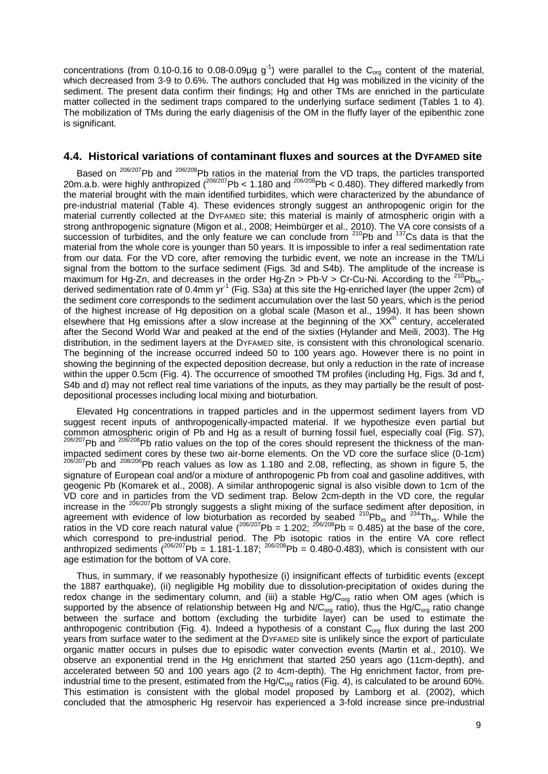concentrations (from 0.10-0.16 to 0.08-0.09µg  $g^{-1}$ ) were parallel to the C<sub>org</sub> content of the material, which decreased from 3-9 to 0.6%. The authors concluded that Hg was mobilized in the vicinity of the sediment. The present data confirm their findings; Hg and other TMs are enriched in the particulate matter collected in the sediment traps compared to the underlying surface sediment (Tables 1 to 4). The mobilization of TMs during the early diagenisis of the OM in the fluffy layer of the epibenthic zone is significant.

#### **4.4. Historical variations of contaminant fluxes and sources at the DYFAMED site**

Based on <sup>206/207</sup>Pb and <sup>206/208</sup>Pb ratios in the material from the VD traps, the particles transported 20m.a.b. were highly anthropized (<sup>206/207</sup>Pb < 1.180 and <sup>206/208</sup>Pb < 0.480). They differed markedly from the material brought with the main identified turbidites, which were characterized by the abundance of pre-industrial material (Table 4). These evidences strongly suggest an anthropogenic origin for the material currently collected at the DYFAMED site; this material is mainly of atmospheric origin with a strong anthropogenic signature (Migon et al., 2008; Heimbürger et al., 2010). The VA core consists of a succession of turbidites, and the only feature we can conclude from <sup>210</sup>Pb and <sup>137</sup>Cs data is that the material from the whole core is younger than 50 years. It is impossible to infer a real sedimentation rate from our data. For the VD core, after removing the turbidic event, we note an increase in the TM/Li signal from the bottom to the surface sediment (Figs. 3d and S4b). The amplitude of the increase is maximum for Hg-Zn, and decreases in the order Hg-Zn > Pb-V > Cr-Cu-Ni. According to the <sup>210</sup>Pb<sub>xs</sub>derived sedimentation rate of 0.4mm yr<sup>-1</sup> (Fig. S3a) at this site the Hg-enriched layer (the upper 2cm) of the sediment core corresponds to the sediment accumulation over the last 50 years, which is the period of the highest increase of Hg deposition on a global scale (Mason et al., 1994). It has been shown elsewhere that Hg emissions after a slow increase at the beginning of the XX<sup>th'</sup> century, accelerated after the Second World War and peaked at the end of the sixties (Hylander and Meili, 2003). The Hg distribution, in the sediment layers at the DYFAMED site, is consistent with this chronological scenario. The beginning of the increase occurred indeed 50 to 100 years ago. However there is no point in showing the beginning of the expected deposition decrease, but only a reduction in the rate of increase within the upper 0.5cm (Fig. 4). The occurrence of smoothed TM profiles (including Hg, Figs. 3d and f, S4b and d) may not reflect real time variations of the inputs, as they may partially be the result of postdepositional processes including local mixing and bioturbation.

Elevated Hg concentrations in trapped particles and in the uppermost sediment layers from VD suggest recent inputs of anthropogenically-impacted material. If we hypothesize even partial but common atmospheric origin of Pb and Hg as a result of burning fossil fuel, especially coal (Fig. S7), 206/207Pb and <sup>206/208</sup>Pb ratio values on the top of the cores should represent the thickness of the man-<br>impacted sedim  $\frac{206}{2007}$ Pb and  $\frac{208}{206}$ Pb reach values as low as 1.180 and 2.08, reflecting, as shown in figure 5, the signature of European coal and/or a mixture of anthropogenic Pb from coal and gasoline additives, with geogenic Pb (Komarek et al., 2008). A similar anthropogenic signal is also visible down to 1cm of the VD core and in particles from the VD sediment trap. Below 2cm-depth in the VD core, the regular increase in the <sup>206/207</sup>Pb strongly suggests a slight mixing of the surface sediment after deposition, in agreement with evidence of low bioturbation as recorded by seabed  $^{210}Pb_{xs}$  and  $^{234}Th_{xs}$ . While the ratios in the VD core reach natural value  $(^{206/207}Pb = 1.202; ^{206/208}Pb = 0.485)$  at the base of the core, which correspond to pre-industrial period. The Pb isotopic ratios in the entire VA core reflect anthropized sediments  $(206/207)$  Pb = 1.181-1.187;  $206/208$  Pb = 0.480-0.483), which is consistent with our age estimation for the bottom of VA core.

Thus, in summary, if we reasonably hypothesize (i) insignificant effects of turbiditic events (except the 1887 earthquake), (ii) negligible Hg mobility due to dissolution-precipitation of oxides during the redox change in the sedimentary column, and (iii) a stable  $Hg/C_{org}$  ratio when OM ages (which is supported by the absence of relationship between Hg and N/C<sub>org</sub> ratio), thus the Hg/C<sub>org</sub> ratio change between the surface and bottom (excluding the turbidite layer) can be used to estimate the anthropogenic contribution (Fig. 4). Indeed a hypothesis of a constant  $C_{\alpha\alpha}$  flux during the last 200 years from surface water to the sediment at the DYFAMED site is unlikely since the export of particulate organic matter occurs in pulses due to episodic water convection events (Martin et al., 2010). We observe an exponential trend in the Hg enrichment that started 250 years ago (11cm-depth), and accelerated between 50 and 100 years ago (2 to 4cm-depth). The Hg enrichment factor, from preindustrial time to the present, estimated from the  $Hg/C_{\text{ora}}$  ratios (Fig. 4), is calculated to be around 60%. This estimation is consistent with the global model proposed by Lamborg et al. (2002), which concluded that the atmospheric Hg reservoir has experienced a 3-fold increase since pre-industrial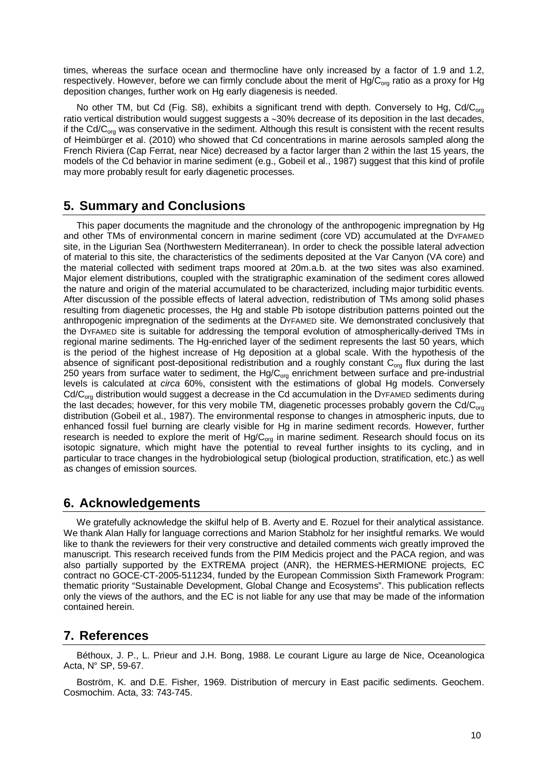times, whereas the surface ocean and thermocline have only increased by a factor of 1.9 and 1.2, respectively. However, before we can firmly conclude about the merit of Hg/C<sub>org</sub> ratio as a proxy for Hg deposition changes, further work on Hg early diagenesis is needed.

No other TM, but Cd (Fig. S8), exhibits a significant trend with depth. Conversely to Hg, Cd/C<sub>org</sub> ratio vertical distribution would suggest suggests a ∼30% decrease of its deposition in the last decades, if the  $Cd/C<sub>ora</sub>$  was conservative in the sediment. Although this result is consistent with the recent results of Heimbürger et al. (2010) who showed that Cd concentrations in marine aerosols sampled along the French Riviera (Cap Ferrat, near Nice) decreased by a factor larger than 2 within the last 15 years, the models of the Cd behavior in marine sediment (e.g., Gobeil et al., 1987) suggest that this kind of profile may more probably result for early diagenetic processes.

# **5. Summary and Conclusions**

This paper documents the magnitude and the chronology of the anthropogenic impregnation by Hg and other TMs of environmental concern in marine sediment (core VD) accumulated at the DYFAMED site, in the Ligurian Sea (Northwestern Mediterranean). In order to check the possible lateral advection of material to this site, the characteristics of the sediments deposited at the Var Canyon (VA core) and the material collected with sediment traps moored at 20m.a.b. at the two sites was also examined. Major element distributions, coupled with the stratigraphic examination of the sediment cores allowed the nature and origin of the material accumulated to be characterized, including major turbiditic events. After discussion of the possible effects of lateral advection, redistribution of TMs among solid phases resulting from diagenetic processes, the Hg and stable Pb isotope distribution patterns pointed out the anthropogenic impregnation of the sediments at the DYFAMED site. We demonstrated conclusively that the DYFAMED site is suitable for addressing the temporal evolution of atmospherically-derived TMs in regional marine sediments. The Hg-enriched layer of the sediment represents the last 50 years, which is the period of the highest increase of Hg deposition at a global scale. With the hypothesis of the absence of significant post-depositional redistribution and a roughly constant  $C_{\text{ora}}$  flux during the last 250 years from surface water to sediment, the  $Hg/C_{\text{org}}$  enrichment between surface and pre-industrial levels is calculated at *circa* 60%, consistent with the estimations of global Hg models. Conversely  $Cd/C<sub>org</sub>$  distribution would suggest a decrease in the Cd accumulation in the DYFAMED sediments during the last decades; however, for this very mobile TM, diagenetic processes probably govern the Cd/C<sub>org</sub> distribution (Gobeil et al., 1987). The environmental response to changes in atmospheric inputs, due to enhanced fossil fuel burning are clearly visible for Hg in marine sediment records. However, further research is needed to explore the merit of  $Hg/C_{org}$  in marine sediment. Research should focus on its isotopic signature, which might have the potential to reveal further insights to its cycling, and in particular to trace changes in the hydrobiological setup (biological production, stratification, etc.) as well as changes of emission sources.

# **6. Acknowledgements**

We gratefully acknowledge the skilful help of B. Averty and E. Rozuel for their analytical assistance. We thank Alan Hally for language corrections and Marion Stabholz for her insightful remarks. We would like to thank the reviewers for their very constructive and detailed comments wich greatly improved the manuscript. This research received funds from the PIM Medicis project and the PACA region, and was also partially supported by the EXTREMA project (ANR), the HERMES-HERMIONE projects, EC contract no GOCE-CT-2005-511234, funded by the European Commission Sixth Framework Program: thematic priority "Sustainable Development, Global Change and Ecosystems". This publication reflects only the views of the authors, and the EC is not liable for any use that may be made of the information contained herein.

# **7. References**

Béthoux, J. P., L. Prieur and J.H. Bong, 1988. Le courant Ligure au large de Nice, Oceanologica Acta, N° SP, 59-67.

Boström, K. and D.E. Fisher, 1969. Distribution of mercury in East pacific sediments. Geochem. Cosmochim. Acta, 33: 743-745.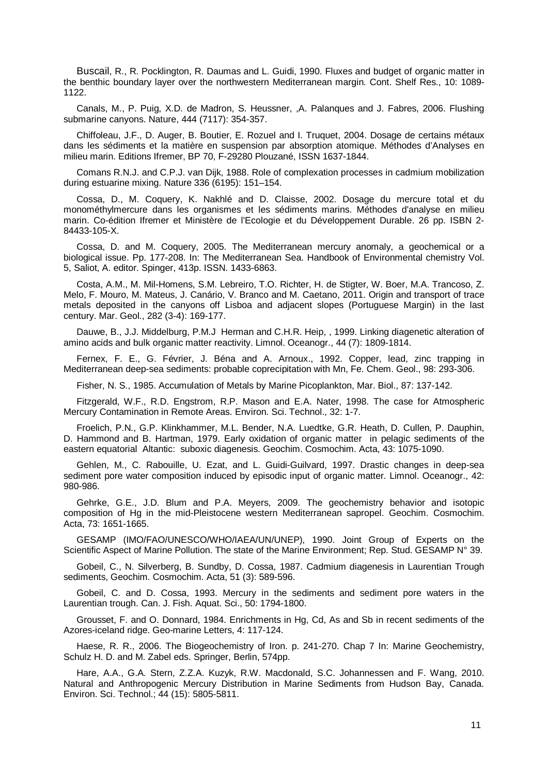Buscail, R., R. Pocklington, R. Daumas and L. Guidi, 1990. Fluxes and budget of organic matter in the benthic boundary layer over the northwestern Mediterranean margin. Cont. Shelf Res., 10: 1089- 1122.

Canals, M., P. Puig, X.D. de Madron, S. Heussner, ,A. Palanques and J. Fabres, 2006. Flushing submarine canyons. Nature, 444 (7117): 354-357.

Chiffoleau, J.F., D. Auger, B. Boutier, E. Rozuel and I. Truquet, 2004. Dosage de certains métaux dans les sédiments et la matière en suspension par absorption atomique. Méthodes d'Analyses en milieu marin. Editions Ifremer, BP 70, F-29280 Plouzané, ISSN 1637-1844.

Comans R.N.J. and C.P.J. van Dijk, 1988. Role of complexation processes in cadmium mobilization during estuarine mixing. Nature 336 (6195): 151–154.

Cossa, D., M. Coquery, K. Nakhlé and D. Claisse, 2002. Dosage du mercure total et du monométhylmercure dans les organismes et les sédiments marins. Méthodes d'analyse en milieu marin. Co-édition Ifremer et Ministère de l'Ecologie et du Développement Durable. 26 pp. ISBN 2- 84433-105-X.

Cossa, D. and M. Coquery, 2005. The Mediterranean mercury anomaly, a geochemical or a biological issue. Pp. 177-208. In: The Mediterranean Sea. Handbook of Environmental chemistry Vol. 5, Saliot, A. editor. Spinger, 413p. ISSN. 1433-6863.

Costa, A.M., M. Mil-Homens, S.M. Lebreiro, T.O. Richter, H. de Stigter, W. Boer, M.A. Trancoso, Z. Melo, F. Mouro, M. Mateus, J. Canário, V. Branco and M. Caetano, 2011. Origin and transport of trace metals deposited in the canyons off Lisboa and adjacent slopes (Portuguese Margin) in the last century. Mar. Geol., 282 (3-4): 169-177.

Dauwe, B., J.J. Middelburg, P.M.J Herman and C.H.R. Heip, , 1999. Linking diagenetic alteration of amino acids and bulk organic matter reactivity. Limnol. Oceanogr., 44 (7): 1809-1814.

Fernex, F. E., G. Février, J. Béna and A. Arnoux., 1992. Copper, lead, zinc trapping in Mediterranean deep-sea sediments: probable coprecipitation with Mn, Fe. Chem. Geol., 98: 293-306.

Fisher, N. S., 1985. Accumulation of Metals by Marine Picoplankton, Mar. Biol., 87: 137-142.

Fitzgerald, W.F., R.D. Engstrom, R.P. Mason and E.A. Nater, 1998. The case for Atmospheric Mercury Contamination in Remote Areas. Environ. Sci. Technol., 32: 1-7.

Froelich, P.N., G.P. Klinkhammer, M.L. Bender, N.A. Luedtke, G.R. Heath, D. Cullen, P. Dauphin, D. Hammond and B. Hartman, 1979. Early oxidation of organic matter in pelagic sediments of the eastern equatorial Altantic: suboxic diagenesis. Geochim. Cosmochim. Acta, 43: 1075-1090.

Gehlen, M., C. Rabouille, U. Ezat, and L. Guidi-Guilvard, 1997. Drastic changes in deep-sea sediment pore water composition induced by episodic input of organic matter. Limnol. Oceanogr., 42: 980-986.

Gehrke, G.E., J.D. Blum and P.A. Meyers, 2009. The geochemistry behavior and isotopic composition of Hg in the mid-Pleistocene western Mediterranean sapropel. Geochim. Cosmochim. Acta, 73: 1651-1665.

GESAMP (IMO/FAO/UNESCO/WHO/IAEA/UN/UNEP), 1990. Joint Group of Experts on the Scientific Aspect of Marine Pollution. The state of the Marine Environment; Rep. Stud. GESAMP N° 39.

Gobeil, C., N. Silverberg, B. Sundby, D. Cossa, 1987. Cadmium diagenesis in Laurentian Trough sediments, Geochim. Cosmochim. Acta, 51 (3): 589-596.

Gobeil, C. and D. Cossa, 1993. Mercury in the sediments and sediment pore waters in the Laurentian trough. Can. J. Fish. Aquat. Sci., 50: 1794-1800.

Grousset, F. and O. Donnard, 1984. Enrichments in Hg, Cd, As and Sb in recent sediments of the Azores-iceland ridge. Geo-marine Letters, 4: 117-124.

Haese, R. R., 2006. The Biogeochemistry of Iron. p. 241-270. Chap 7 In: Marine Geochemistry, Schulz H. D. and M. Zabel eds. Springer, Berlin, 574pp.

Hare, A.A., G.A. Stern, Z.Z.A. Kuzyk, R.W. Macdonald, S.C. Johannessen and F. Wang, 2010. Natural and Anthropogenic Mercury Distribution in Marine Sediments from Hudson Bay, Canada. Environ. Sci. Technol.; 44 (15): 5805-5811.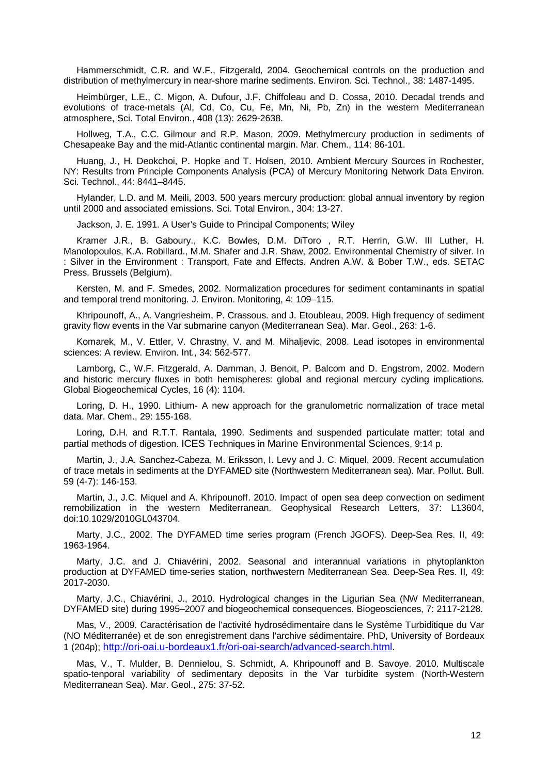Hammerschmidt, C.R. and W.F., Fitzgerald, 2004. Geochemical controls on the production and distribution of methylmercury in near-shore marine sediments. Environ. Sci. Technol., 38: 1487-1495.

Heimbürger, L.E., C. Migon, A. Dufour, J.F. Chiffoleau and D. Cossa, 2010. Decadal trends and evolutions of trace-metals (Al, Cd, Co, Cu, Fe, Mn, Ni, Pb, Zn) in the western Mediterranean atmosphere, Sci. Total Environ., 408 (13): 2629-2638.

Hollweg, T.A., C.C. Gilmour and R.P. Mason, 2009. Methylmercury production in sediments of Chesapeake Bay and the mid-Atlantic continental margin. Mar. Chem., 114: 86-101.

Huang, J., H. Deokchoi, P. Hopke and T. Holsen, 2010. Ambient Mercury Sources in Rochester, NY: Results from Principle Components Analysis (PCA) of Mercury Monitoring Network Data Environ. Sci. Technol., 44: 8441–8445.

Hylander, L.D. and M. Meili, 2003. 500 years mercury production: global annual inventory by region until 2000 and associated emissions. Sci. Total Environ., 304: 13-27.

Jackson, J. E. 1991. A User's Guide to Principal Components; Wiley

Kramer J.R., B. Gaboury., K.C. Bowles, D.M. DiToro , R.T. Herrin, G.W. III Luther, H. Manolopoulos, K.A. Robillard., M.M. Shafer and J.R. Shaw, 2002. Environmental Chemistry of silver. In : Silver in the Environment : Transport, Fate and Effects. Andren A.W. & Bober T.W., eds. SETAC Press. Brussels (Belgium).

Kersten, M. and F. Smedes, 2002. Normalization procedures for sediment contaminants in spatial and temporal trend monitoring. J. Environ. Monitoring, 4: 109–115.

Khripounoff, A., A. Vangriesheim, P. Crassous. and J. Etoubleau, 2009. High frequency of sediment gravity flow events in the Var submarine canyon (Mediterranean Sea). Mar. Geol., 263: 1-6.

Komarek, M., V. Ettler, V. Chrastny, V. and M. Mihaljevic, 2008. Lead isotopes in environmental sciences: A review. Environ. Int., 34: 562-577.

Lamborg, C., W.F. Fitzgerald, A. Damman, J. Benoit, P. Balcom and D. Engstrom, 2002. Modern and historic mercury fluxes in both hemispheres: global and regional mercury cycling implications. Global Biogeochemical Cycles, 16 (4): 1104.

Loring, D. H., 1990. Lithium- A new approach for the granulometric normalization of trace metal data. Mar. Chem., 29: 155-168.

Loring, D.H. and R.T.T. Rantala, 1990. Sediments and suspended particulate matter: total and partial methods of digestion. ICES Techniques in Marine Environmental Sciences, 9:14 p.

Martin, J., J.A. Sanchez-Cabeza, M. Eriksson, I. Levy and J. C. Miquel, 2009. Recent accumulation of trace metals in sediments at the DYFAMED site (Northwestern Mediterranean sea). Mar. Pollut. Bull. 59 (4-7): 146-153.

Martin, J., J.C. Miquel and A. Khripounoff. 2010. Impact of open sea deep convection on sediment remobilization in the western Mediterranean. Geophysical Research Letters, 37: L13604, doi:10.1029/2010GL043704.

Marty, J.C., 2002. The DYFAMED time series program (French JGOFS). Deep-Sea Res. II, 49: 1963-1964.

Marty, J.C. and J. Chiavérini, 2002. Seasonal and interannual variations in phytoplankton production at DYFAMED time-series station, northwestern Mediterranean Sea. Deep-Sea Res. II, 49: 2017-2030.

Marty, J.C., Chiavérini, J., 2010. Hydrological changes in the Ligurian Sea (NW Mediterranean, DYFAMED site) during 1995–2007 and biogeochemical consequences. Biogeosciences, 7: 2117-2128.

Mas, V., 2009. Caractérisation de l'activité hydrosédimentaire dans le Système Turbiditique du Var (NO Méditerranée) et de son enregistrement dans l'archive sédimentaire. PhD, University of Bordeaux 1 (204p); [http://ori-oai.u-bordeaux1.fr/ori-oai-search/advanced-search.html.](http://ori-oai.u-bordeaux1.fr/ori-oai-search/advanced-search.html)

Mas, V., T. Mulder, B. Dennielou, S. Schmidt, A. Khripounoff and B. Savoye. 2010. Multiscale spatio-tenporal variability of sedimentary deposits in the Var turbidite system (North-Western Mediterranean Sea). Mar. Geol., 275: 37-52.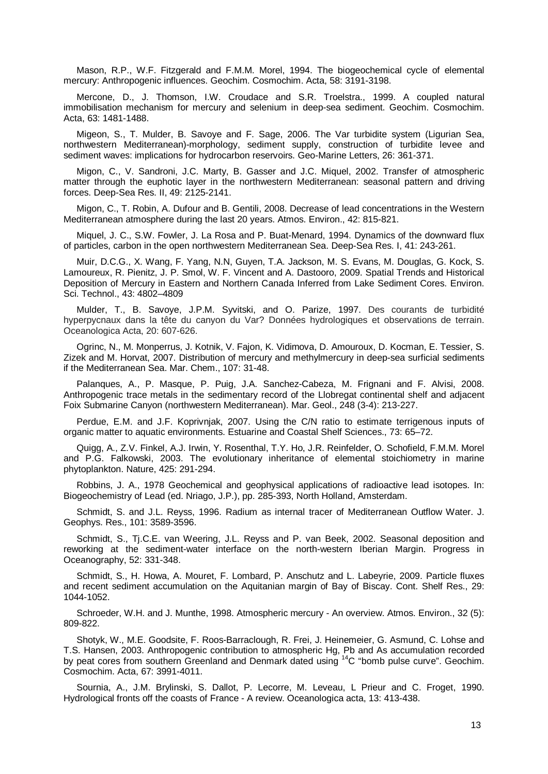Mason, R.P., W.F. Fitzgerald and F.M.M. Morel, 1994. The biogeochemical cycle of elemental mercury: Anthropogenic influences. Geochim. Cosmochim. Acta, 58: 3191-3198.

Mercone, D., J. Thomson, I.W. Croudace and S.R. Troelstra., 1999. A coupled natural immobilisation mechanism for mercury and selenium in deep-sea sediment. Geochim. Cosmochim. Acta, 63: 1481-1488.

Migeon, S., T. Mulder, B. Savoye and F. Sage, 2006. The Var turbidite system (Ligurian Sea, northwestern Mediterranean)-morphology, sediment supply, construction of turbidite levee and sediment waves: implications for hydrocarbon reservoirs. Geo-Marine Letters, 26: 361-371.

Migon, C., V. Sandroni, J.C. Marty, B. Gasser and J.C. Miquel, 2002. Transfer of atmospheric matter through the euphotic layer in the northwestern Mediterranean: seasonal pattern and driving forces. Deep-Sea Res. II, 49: 2125-2141.

Migon, C., T. Robin, A. Dufour and B. Gentili, 2008. Decrease of lead concentrations in the Western Mediterranean atmosphere during the last 20 years. Atmos. Environ., 42: 815-821.

Miquel, J. C., S.W. Fowler, J. La Rosa and P. Buat-Menard, 1994. Dynamics of the downward flux of particles, carbon in the open northwestern Mediterranean Sea. Deep-Sea Res. I, 41: 243-261.

Muir, D.C.G., X. Wang, F. Yang, N.N, Guyen, T.A. Jackson, M. S. Evans, M. Douglas, G. Kock, S. Lamoureux, R. Pienitz, J. P. Smol, W. F. Vincent and A. Dastooro, 2009. Spatial Trends and Historical Deposition of Mercury in Eastern and Northern Canada Inferred from Lake Sediment Cores. Environ. Sci. Technol., 43: 4802–4809

Mulder, T., B. Savoye, J.P.M. Syvitski, and O. Parize, 1997. Des courants de turbidité hyperpycnaux dans la tête du canyon du Var? Données hydrologiques et observations de terrain. Oceanologica Acta, 20: 607-626.

Ogrinc, N., M. Monperrus, J. Kotnik, V. Fajon, K. Vidimova, D. Amouroux, D. Kocman, E. Tessier, S. Zizek and M. Horvat, 2007. Distribution of mercury and methylmercury in deep-sea surficial sediments if the Mediterranean Sea. Mar. Chem., 107: 31-48.

Palanques, A., P. Masque, P. Puig, J.A. Sanchez-Cabeza, M. Frignani and F. Alvisi, 2008. Anthropogenic trace metals in the sedimentary record of the Llobregat continental shelf and adjacent Foix Submarine Canyon (northwestern Mediterranean). Mar. Geol., 248 (3-4): 213-227.

Perdue, E.M. and J.F. Koprivnjak, 2007. Using the C/N ratio to estimate terrigenous inputs of organic matter to aquatic environments. Estuarine and Coastal Shelf Sciences., 73: 65–72.

Quigg, A., Z.V. Finkel, A.J. Irwin, Y. Rosenthal, T.Y. Ho, J.R. Reinfelder, O. Schofield, F.M.M. Morel and P.G. Falkowski, 2003. The evolutionary inheritance of elemental stoichiometry in marine phytoplankton. Nature, 425: 291-294.

Robbins, J. A., 1978 Geochemical and geophysical applications of radioactive lead isotopes. In: Biogeochemistry of Lead (ed. Nriago, J.P.), pp. 285-393, North Holland, Amsterdam.

Schmidt, S. and J.L. Reyss, 1996. Radium as internal tracer of Mediterranean Outflow Water. J. Geophys. Res., 101: 3589-3596.

Schmidt, S., Tj.C.E. van Weering, J.L. Reyss and P. van Beek, 2002. Seasonal deposition and reworking at the sediment-water interface on the north-western Iberian Margin. Progress in Oceanography, 52: 331-348.

Schmidt, S., H. Howa, A. Mouret, F. Lombard, P. Anschutz and L. Labeyrie, 2009. Particle fluxes and recent sediment accumulation on the Aquitanian margin of Bay of Biscay. Cont. Shelf Res., 29: 1044-1052.

Schroeder, W.H. and J. Munthe, 1998. Atmospheric mercury - An overview. Atmos. Environ., 32 (5): 809-822.

Shotyk, W., M.E. Goodsite, F. Roos-Barraclough, R. Frei, J. Heinemeier, G. Asmund, C. Lohse and T.S. Hansen, 2003. Anthropogenic contribution to atmospheric Hg, Pb and As accumulation recorded by peat cores from southern Greenland and Denmark dated using <sup>14</sup>C "bomb pulse curve". Geochim. Cosmochim. Acta, 67: 3991-4011.

Sournia, A., J.M. Brylinski, S. Dallot, P. Lecorre, M. Leveau, L Prieur and C. Froget, 1990. Hydrological fronts off the coasts of France - A review. Oceanologica acta, 13: 413-438.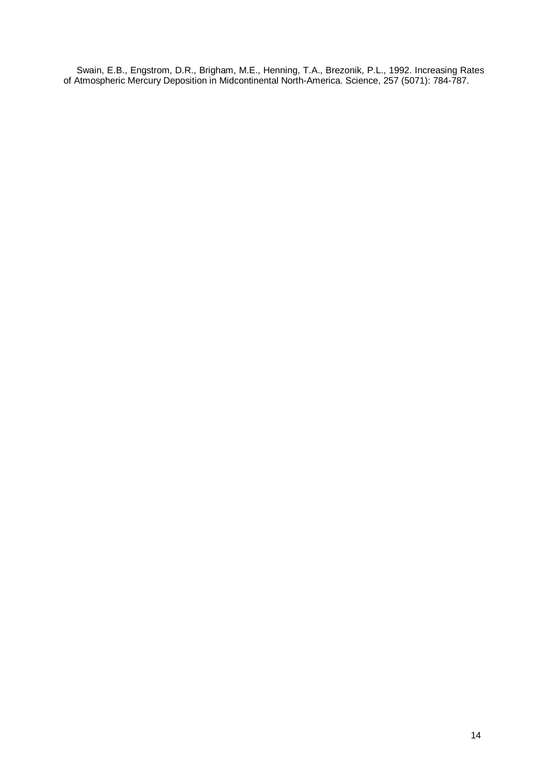Swain, E.B., Engstrom, D.R., Brigham, M.E., Henning, T.A., Brezonik, P.L., 1992. Increasing Rates of Atmospheric Mercury Deposition in Midcontinental North-America. Science, 257 (5071): 784-787.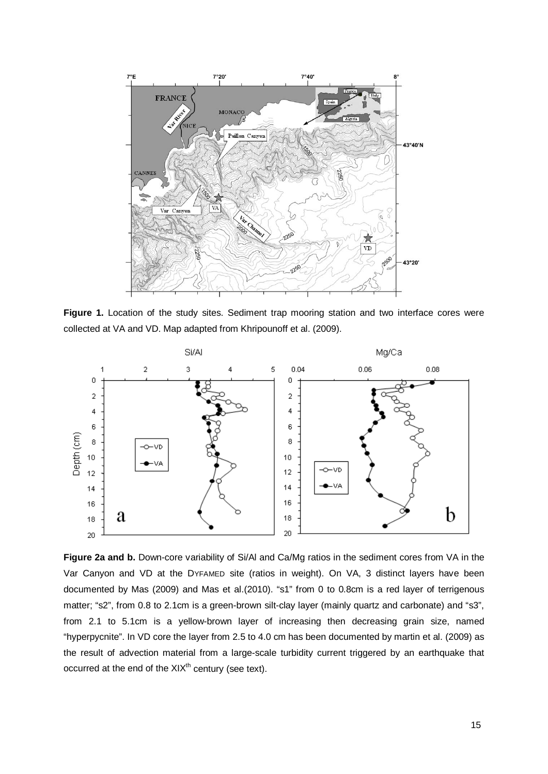

**Figure 1.** Location of the study sites. Sediment trap mooring station and two interface cores were collected at VA and VD. Map adapted from Khripounoff et al. (2009).



**Figure 2a and b.** Down-core variability of Si/Al and Ca/Mg ratios in the sediment cores from VA in the Var Canyon and VD at the DYFAMED site (ratios in weight). On VA, 3 distinct layers have been documented by Mas (2009) and Mas et al.(2010). "s1" from 0 to 0.8cm is a red layer of terrigenous matter; "s2", from 0.8 to 2.1cm is a green-brown silt-clay layer (mainly quartz and carbonate) and "s3", from 2.1 to 5.1cm is a yellow-brown layer of increasing then decreasing grain size, named "hyperpycnite". In VD core the layer from 2.5 to 4.0 cm has been documented by martin et al. (2009) as the result of advection material from a large-scale turbidity current triggered by an earthquake that occurred at the end of the  $XIX<sup>th</sup>$  century (see text).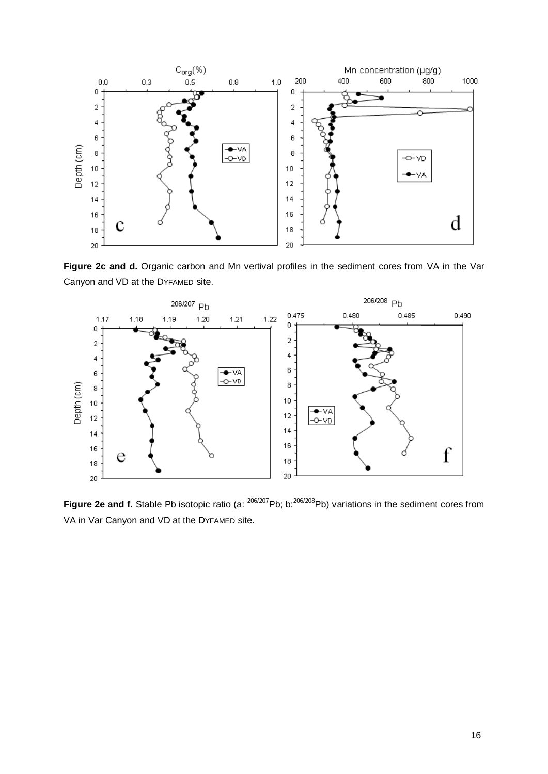

Figure 2c and d. Organic carbon and Mn vertival profiles in the sediment cores from VA in the Var Canyon and VD at the DYFAMED site.



**Figure 2e and f.** Stable Pb isotopic ratio (a: <sup>206/207</sup>Pb; b:<sup>206/208</sup>Pb) variations in the sediment cores from VA in Var Canyon and VD at the DYFAMED site.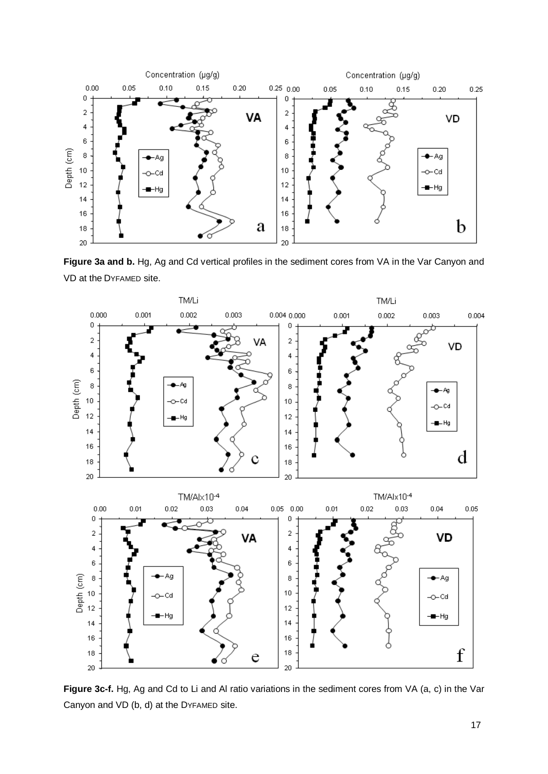

**Figure 3a and b.** Hg, Ag and Cd vertical profiles in the sediment cores from VA in the Var Canyon and VD at the DYFAMED site.



**Figure 3c-f.** Hg, Ag and Cd to Li and Al ratio variations in the sediment cores from VA (a, c) in the Var Canyon and VD (b, d) at the DYFAMED site.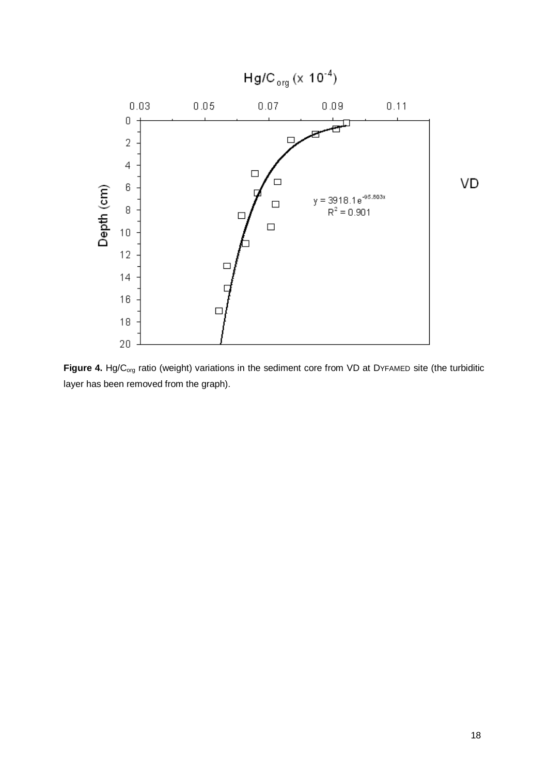

Figure 4. Hg/C<sub>org</sub> ratio (weight) variations in the sediment core from VD at DYFAMED site (the turbiditic layer has been removed from the graph).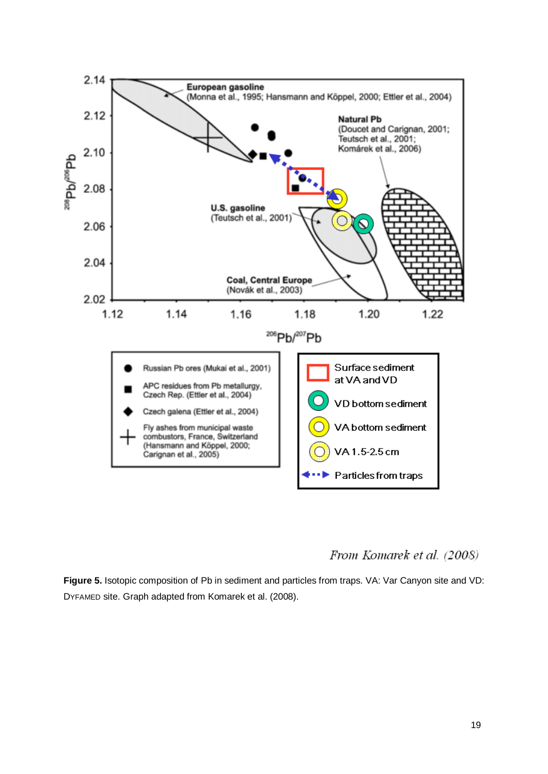

From Komarek et al. (2008)

**Figure 5.** Isotopic composition of Pb in sediment and particles from traps. VA: Var Canyon site and VD: DYFAMED site. Graph adapted from Komarek et al. (2008).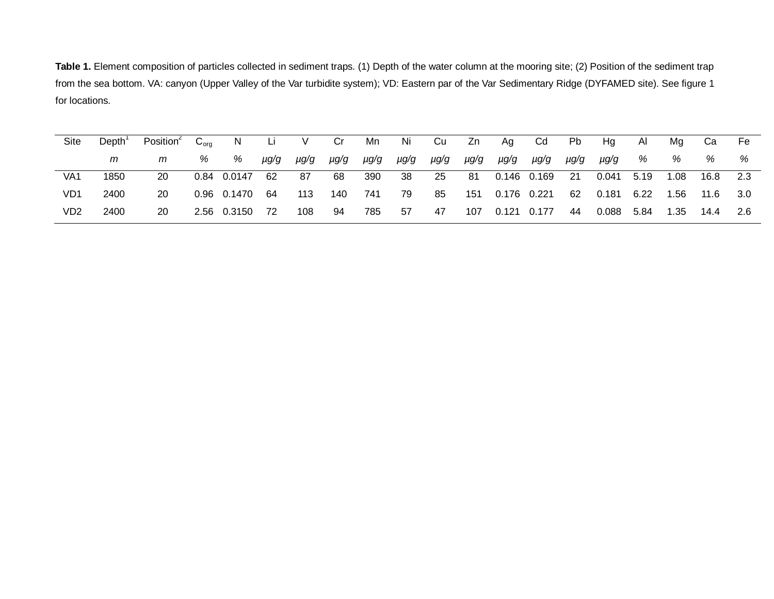Table 1. Element composition of particles collected in sediment traps. (1) Depth of the water column at the mooring site; (2) Position of the sediment trap from the sea bottom. VA: canyon (Upper Valley of the Var turbidite system); VD: Eastern par of the Var Sedimentary Ridge (DYFAMED site). See figure 1 for locations.

| Site | Depth <sup>'</sup> | Position <sup>2</sup> $C_{\text{ora}}$ |   | N Li V           |      |      | Cr           | Mn        | <b>Ni</b> | Cu Zn Ag |                     | <b>Cd</b>             | <b>Pb</b> | Ha            | Al | Ma   | Ca              | - Fe  |
|------|--------------------|----------------------------------------|---|------------------|------|------|--------------|-----------|-----------|----------|---------------------|-----------------------|-----------|---------------|----|------|-----------------|-------|
|      | m                  | m                                      | % | %                | µg/g | µg/g | $\mu$ $gg/g$ | µg/g µg/g |           |          | pg/g pg/g pg/g pg/g |                       | µg/g      | µg/g          | %  | %    | %               | %     |
| VA1  | 1850               | -20                                    |   | 0.84 0.0147      | 62   | - 87 | 68           | - 390     | - 38      |          |                     | 25 81 0.146 0.169     | 21        | 0.041 5.19    |    |      | 1.08  16.8  2.3 |       |
| VD1  | 2400               | -20                                    |   | 0.96  0.1470  64 |      | 113  | 140          | 741       | - 79      | 85       | 151   0.176   0.221 |                       | 62        | 0.181    6.22 |    |      | 1.56  11.6      | - 3.0 |
| VD2  | 2400               | 20                                     |   | 2.56 0.3150 72   |      | 108  | 94           | 785       | 57        | 47       |                     | 107  0.121  0.177  44 |           | 0.088 5.84    |    | 1.35 | 14.4            | 2.6   |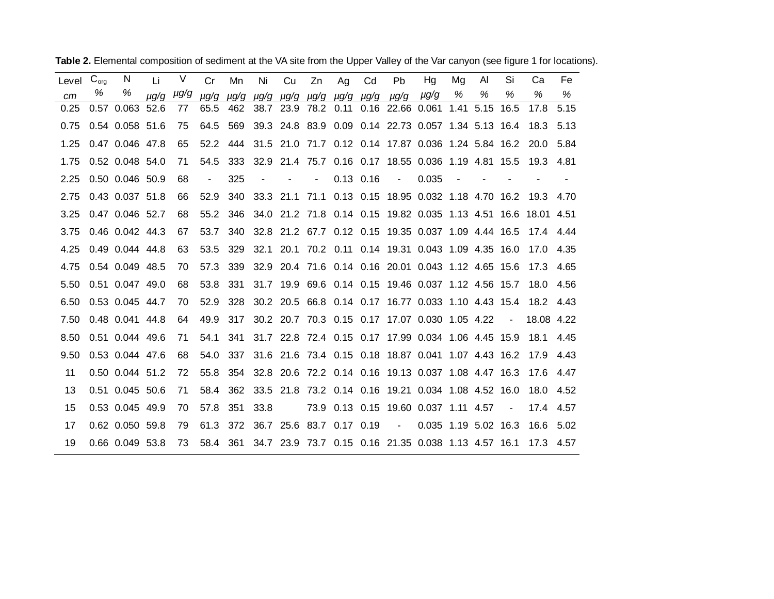| Level | $C_{org}$ | N               | Li        | V    | Cr             | Mn        | Ni     | Cu | Zn                                      | Ag | Cd            | <b>Pb</b>                            | Hg                                                             | Mg   | AI   | Si             | Ca         | Fe    |
|-------|-----------|-----------------|-----------|------|----------------|-----------|--------|----|-----------------------------------------|----|---------------|--------------------------------------|----------------------------------------------------------------|------|------|----------------|------------|-------|
| cm    | %         | %               | $\mu q/q$ | µg/g | $\mu$ g/g      | $\mu$ g/g |        |    | $\mu$ g/g $\mu$ g/g $\mu$ g/g $\mu$ g/g |    | µg/g          | µg/g                                 | $\mu$ g/g                                                      | %    | %    | %              | %          | %     |
| 0.25  |           | 0.57 0.063      | 52.6      | 77   | 65.5           | 462       |        |    |                                         |    |               | 38.7 23.9 78.2 0.11 0.16 22.66 0.061 |                                                                | 1.41 | 5.15 | 16.5           | 17.8       | 5.15  |
| 0.75  |           | 0.54 0.058 51.6 |           | 75   | 64.5           | 569       |        |    |                                         |    |               |                                      | 39.3 24.8 83.9 0.09 0.14 22.73 0.057 1.34 5.13 16.4            |      |      |                | 18.3       | 5.13  |
| 1.25  |           | 0.47 0.046 47.8 |           | 65   | 52.2           | 444       |        |    |                                         |    |               |                                      | 31.5 21.0 71.7 0.12 0.14 17.87 0.036 1.24 5.84 16.2            |      |      |                | 20.0       | 5.84  |
| 1.75  |           | 0.52 0.048 54.0 |           | 71   | 54.5           | 333       |        |    |                                         |    |               |                                      | 32.9 21.4 75.7 0.16 0.17 18.55 0.036 1.19 4.81 15.5            |      |      |                | 19.3       | 4.81  |
| 2.25  |           | 0.50 0.046 50.9 |           | 68   | $\blacksquare$ | 325       | $\sim$ |    | $\overline{\phantom{a}}$                |    | $0.13$ $0.16$ | $\sim$                               | 0.035                                                          |      |      |                |            |       |
| 2.75  |           | 0.43 0.037 51.8 |           | 66   | 52.9           | 340       |        |    |                                         |    |               |                                      | 33.3 21.1 71.1 0.13 0.15 18.95 0.032 1.18 4.70 16.2            |      |      |                | 19.3       | 4.70  |
| 3.25  |           | 0.47 0.046 52.7 |           | 68   | 55.2           | 346       |        |    |                                         |    |               |                                      | 34.0 21.2 71.8 0.14 0.15 19.82 0.035 1.13 4.51 16.6 18.01 4.51 |      |      |                |            |       |
| 3.75  |           | 0.46 0.042 44.3 |           | 67   | 53.7           | 340       |        |    |                                         |    |               |                                      | 32.8 21.2 67.7 0.12 0.15 19.35 0.037 1.09 4.44 16.5            |      |      |                | 17.4 4.44  |       |
| 4.25  |           | 0.49 0.044 44.8 |           | 63   | 53.5           | 329       | 32.1   |    |                                         |    |               |                                      | 20.1 70.2 0.11 0.14 19.31 0.043 1.09 4.35 16.0                 |      |      |                | 17.0       | -4.35 |
| 4.75  |           | 0.54 0.049 48.5 |           | 70   | 57.3           | 339       |        |    |                                         |    |               |                                      | 32.9 20.4 71.6 0.14 0.16 20.01 0.043 1.12 4.65 15.6            |      |      |                | 17.3       | 4.65  |
| 5.50  |           | 0.51 0.047 49.0 |           | 68   | 53.8           | 331       |        |    |                                         |    |               |                                      | 31.7 19.9 69.6 0.14 0.15 19.46 0.037 1.12 4.56 15.7            |      |      |                | 18.0       | 4.56  |
| 6.50  |           | 0.53 0.045 44.7 |           | 70   | 52.9           | 328       |        |    |                                         |    |               |                                      | 30.2 20.5 66.8 0.14 0.17 16.77 0.033 1.10 4.43 15.4            |      |      |                | 18.2 4.43  |       |
| 7.50  |           | 0.48 0.041 44.8 |           | 64   | 49.9           | 317       |        |    |                                         |    |               |                                      | 30.2 20.7 70.3 0.15 0.17 17.07 0.030 1.05 4.22                 |      |      | $\blacksquare$ | 18.08 4.22 |       |
| 8.50  |           | 0.51 0.044 49.6 |           | 71   | 54.1           | 341       |        |    |                                         |    |               |                                      | 31.7 22.8 72.4 0.15 0.17 17.99 0.034 1.06 4.45 15.9            |      |      |                | 18.1       | 4.45  |
| 9.50  |           | 0.53 0.044 47.6 |           | 68   | 54.0           | 337       |        |    |                                         |    |               |                                      | 31.6 21.6 73.4 0.15 0.18 18.87 0.041 1.07 4.43 16.2            |      |      |                | 17.9 4.43  |       |
| 11    |           | 0.50 0.044 51.2 |           | 72   | 55.8           | 354       |        |    |                                         |    |               |                                      | 32.8 20.6 72.2 0.14 0.16 19.13 0.037 1.08 4.47 16.3            |      |      |                | 17.6 4.47  |       |
| 13    |           | 0.51 0.045 50.6 |           | 71   | 58.4           | 362       |        |    |                                         |    |               |                                      | 33.5 21.8 73.2 0.14 0.16 19.21 0.034 1.08 4.52 16.0            |      |      |                | 18.0       | 4.52  |
| 15    |           | 0.53 0.045 49.9 |           | 70   | 57.8           | 351       | 33.8   |    |                                         |    |               |                                      | 73.9 0.13 0.15 19.60 0.037 1.11 4.57                           |      |      | $\blacksquare$ | 17.4 4.57  |       |
| 17    |           | 0.62 0.050 59.8 |           | 79   | 61.3           | 372       |        |    | 36.7 25.6 83.7 0.17 0.19                |    |               | $\sim 100$                           | 0.035 1.19 5.02 16.3                                           |      |      |                | 16.6       | -5.02 |
| 19    |           | 0.66 0.049 53.8 |           | 73   | 58.4           | 361       |        |    |                                         |    |               |                                      | 34.7 23.9 73.7 0.15 0.16 21.35 0.038 1.13 4.57 16.1            |      |      |                | 17.3       | 4.57  |

Table 2. Elemental composition of sediment at the VA site from the Upper Valley of the Var canyon (see figure 1 for locations).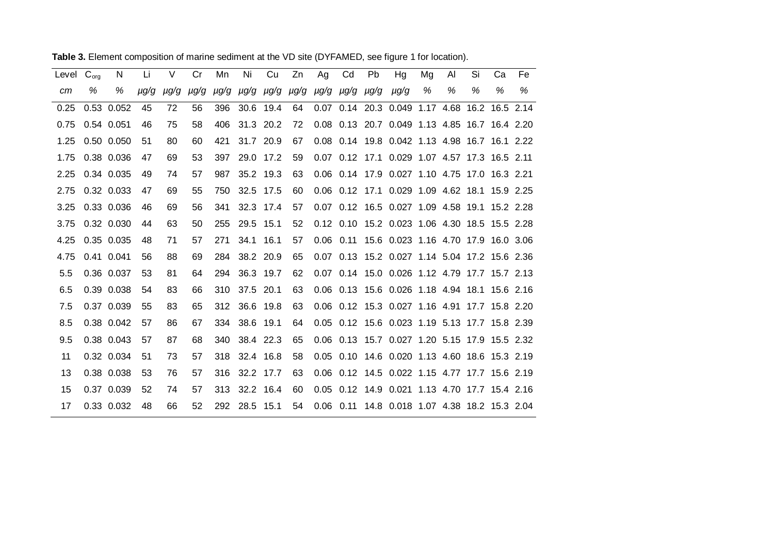| Level $C_{\text{ora}}$ |   | N          | Li        | $\vee$ | Cr        | Mn  | Ni            | Cu   | Zn                                 | Ag | Cd | <b>Pb</b> | Hg                                                    | Mg | AI | Si | Ca | Fe |
|------------------------|---|------------|-----------|--------|-----------|-----|---------------|------|------------------------------------|----|----|-----------|-------------------------------------------------------|----|----|----|----|----|
| cm                     | % | %          | $\mu$ g/g | μg/g   | $\mu$ g/g |     |               |      | pg/g pg/g pg/g pg/g pg/g pg/g pg/g |    |    |           | µg/g                                                  | %  | %  | %  | %  | %  |
| 0.25                   |   | 0.53 0.052 | 45        | 72     | 56        | 396 | 30.6 19.4     |      | 64                                 |    |    |           | 0.07 0.14 20.3 0.049 1.17 4.68 16.2 16.5 2.14         |    |    |    |    |    |
| 0.75                   |   | 0.54 0.051 | 46        | 75     | 58        | 406 | 31.3 20.2     |      | 72                                 |    |    |           | 0.08 0.13 20.7 0.049 1.13 4.85 16.7 16.4 2.20         |    |    |    |    |    |
| 1.25                   |   | 0.50 0.050 | 51        | 80     | 60        | 421 | 31.7 20.9     |      | 67                                 |    |    |           | 0.08 0.14 19.8 0.042 1.13 4.98 16.7 16.1 2.22         |    |    |    |    |    |
| 1.75                   |   | 0.38 0.036 | 47        | 69     | 53        | 397 | 29.0 17.2     |      | 59                                 |    |    |           | 0.07 0.12 17.1 0.029 1.07 4.57 17.3 16.5 2.11         |    |    |    |    |    |
| 2.25                   |   | 0.34 0.035 | 49        | 74     | 57        | 987 | 35.2 19.3     |      | 63                                 |    |    |           | 0.06 0.14 17.9 0.027 1.10 4.75 17.0 16.3 2.21         |    |    |    |    |    |
| 2.75                   |   | 0.32 0.033 | 47        | 69     | 55        | 750 | 32.5 17.5     |      | 60                                 |    |    |           | 0.06 0.12 17.1 0.029 1.09 4.62 18.1 15.9 2.25         |    |    |    |    |    |
| 3.25                   |   | 0.33 0.036 | 46        | 69     | 56        | 341 | 32.3 17.4     |      | 57                                 |    |    |           | 0.07 0.12 16.5 0.027 1.09 4.58 19.1 15.2 2.28         |    |    |    |    |    |
| 3.75                   |   | 0.32 0.030 | 44        | 63     | 50        | 255 | 29.5 15.1     |      | 52                                 |    |    |           | 0.12 0.10 15.2 0.023 1.06 4.30 18.5 15.5 2.28         |    |    |    |    |    |
| 4.25                   |   | 0.35 0.035 | 48        | 71     | 57        | 271 | 34.1          | 16.1 | 57                                 |    |    |           | 0.06 0.11 15.6 0.023 1.16 4.70 17.9 16.0 3.06         |    |    |    |    |    |
| 4.75                   |   | 0.41 0.041 | 56        | 88     | 69        | 284 | 38.2 20.9     |      | 65                                 |    |    |           | 0.07 0.13 15.2 0.027 1.14 5.04 17.2 15.6 2.36         |    |    |    |    |    |
| 5.5                    |   | 0.36 0.037 | 53        | 81     | 64        | 294 | 36.3 19.7     |      | 62                                 |    |    |           | 0.07 0.14 15.0 0.026 1.12 4.79 17.7 15.7 2.13         |    |    |    |    |    |
| 6.5                    |   | 0.39 0.038 | 54        | 83     | 66        | 310 | 37.5 20.1     |      | 63                                 |    |    |           | 0.06 0.13 15.6 0.026 1.18 4.94 18.1 15.6 2.16         |    |    |    |    |    |
| 7.5                    |   | 0.37 0.039 | 55        | 83     | 65        | 312 | 36.6 19.8     |      | 63                                 |    |    |           | 0.06 0.12 15.3 0.027 1.16 4.91 17.7 15.8 2.20         |    |    |    |    |    |
| 8.5                    |   | 0.38 0.042 | 57        | 86     | 67        | 334 | 38.6 19.1     |      | 64                                 |    |    |           | 0.05 0.12 15.6 0.023 1.19 5.13 17.7 15.8 2.39         |    |    |    |    |    |
| 9.5                    |   | 0.38 0.043 | 57        | 87     | 68        | 340 | 38.4 22.3     |      | 65                                 |    |    |           | 0.06 0.13 15.7 0.027 1.20 5.15 17.9 15.5 2.32         |    |    |    |    |    |
| 11                     |   | 0.32 0.034 | 51        | 73     | 57        | 318 | 32.4 16.8     |      | 58                                 |    |    |           | 0.05 0.10 14.6 0.020 1.13 4.60 18.6 15.3 2.19         |    |    |    |    |    |
| 13                     |   | 0.38 0.038 | 53        | 76     | 57        | 316 | 32.2 17.7     |      | 63                                 |    |    |           | 0.06 0.12 14.5 0.022 1.15 4.77 17.7 15.6 2.19         |    |    |    |    |    |
| 15                     |   | 0.37 0.039 | 52        | 74     | 57        | 313 | 32.2 16.4     |      | 60                                 |    |    |           | 0.05 0.12 14.9 0.021 1.13 4.70 17.7 15.4 2.16         |    |    |    |    |    |
| 17                     |   | 0.33 0.032 | 48        | 66     | 52        |     | 292 28.5 15.1 |      | 54                                 |    |    |           | 0.06  0.11  14.8  0.018  1.07  4.38  18.2  15.3  2.04 |    |    |    |    |    |

**Table 3.** Element composition of marine sediment at the VD site (DYFAMED, see figure 1 for location).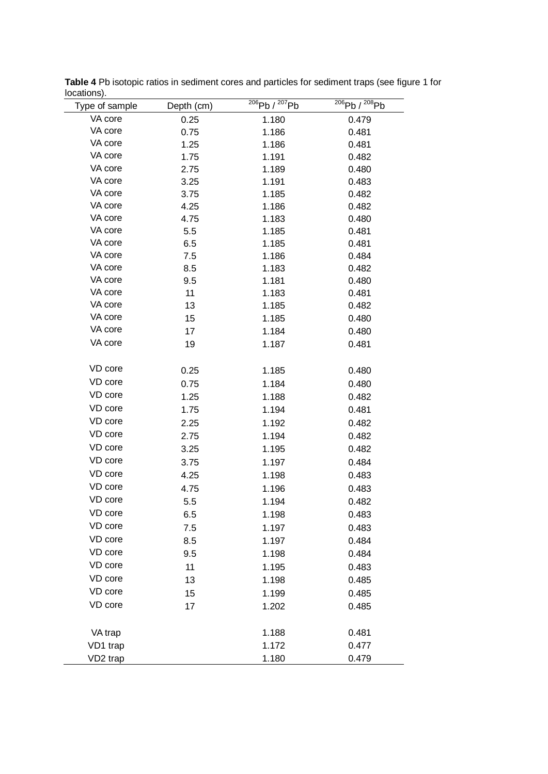| Type of sample       | Depth (cm) | $^{206}Pb/^{207}Pb$ | $^{206}Pb/^{208}Pb$ |
|----------------------|------------|---------------------|---------------------|
| VA core              | 0.25       | 1.180               | 0.479               |
| VA core              | 0.75       | 1.186               | 0.481               |
| VA core              | 1.25       | 1.186               | 0.481               |
| VA core              | 1.75       | 1.191               | 0.482               |
| VA core              | 2.75       | 1.189               | 0.480               |
| VA core              | 3.25       | 1.191               | 0.483               |
| VA core              | 3.75       | 1.185               | 0.482               |
| VA core              | 4.25       | 1.186               | 0.482               |
| VA core              | 4.75       | 1.183               | 0.480               |
| VA core              | 5.5        | 1.185               | 0.481               |
| VA core              | 6.5        | 1.185               | 0.481               |
| VA core              | 7.5        | 1.186               | 0.484               |
| VA core              | 8.5        | 1.183               | 0.482               |
| VA core              | 9.5        | 1.181               | 0.480               |
| VA core              | 11         | 1.183               | 0.481               |
| VA core              | 13         | 1.185               | 0.482               |
| VA core              | 15         | 1.185               | 0.480               |
| VA core              | 17         | 1.184               | 0.480               |
| VA core              | 19         | 1.187               | 0.481               |
| VD core              |            |                     |                     |
| VD core              | 0.25       | 1.185               | 0.480               |
| VD core              | 0.75       | 1.184               | 0.480               |
| VD core              | 1.25       | 1.188               | 0.482               |
| VD core              | 1.75       | 1.194               | 0.481               |
| VD core              | 2.25       | 1.192               | 0.482               |
| VD core              | 2.75       | 1.194               | 0.482               |
|                      | 3.25       | 1.195               | 0.482               |
| VD core              | 3.75       | 1.197               | 0.484               |
| VD core              | 4.25       | 1.198               | 0.483               |
| VD core              | 4.75       | 1.196               | 0.483               |
| VD core              | 5.5        | 1.194               | 0.482               |
| VD core              | 6.5        | 1.198               | 0.483               |
| VD core              | 7.5        | 1.197               | 0.483               |
| VD core              | 8.5        | 1.197               | 0.484               |
| VD core              | 9.5        | 1.198               | 0.484               |
| VD core              | 11         | 1.195               | 0.483               |
| VD core              | 13         | 1.198               | 0.485               |
| VD core              | 15         | 1.199               | 0.485               |
| VD core              | 17         | 1.202               | 0.485               |
| VA trap              |            | 1.188               | 0.481               |
|                      |            | 1.172               |                     |
| VD1 trap             |            |                     | 0.477               |
| VD <sub>2</sub> trap |            | 1.180               | 0.479               |

**Table 4** Pb isotopic ratios in sediment cores and particles for sediment traps (see figure 1 for locations).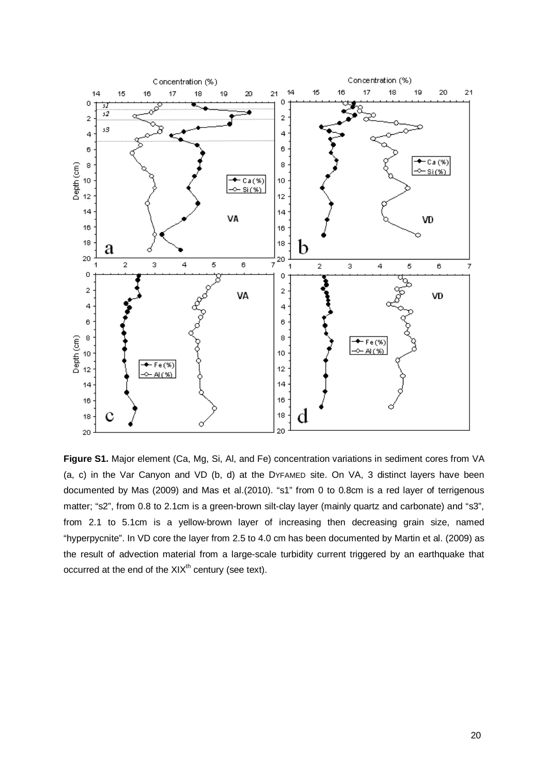

**Figure S1.** Major element (Ca, Mg, Si, Al, and Fe) concentration variations in sediment cores from VA (a, c) in the Var Canyon and VD (b, d) at the DYFAMED site. On VA, 3 distinct layers have been documented by Mas (2009) and Mas et al.(2010). "s1" from 0 to 0.8cm is a red layer of terrigenous matter; "s2", from 0.8 to 2.1cm is a green-brown silt-clay layer (mainly quartz and carbonate) and "s3", from 2.1 to 5.1cm is a yellow-brown layer of increasing then decreasing grain size, named "hyperpycnite". In VD core the layer from 2.5 to 4.0 cm has been documented by Martin et al. (2009) as the result of advection material from a large-scale turbidity current triggered by an earthquake that occurred at the end of the  $XIX<sup>th</sup>$  century (see text).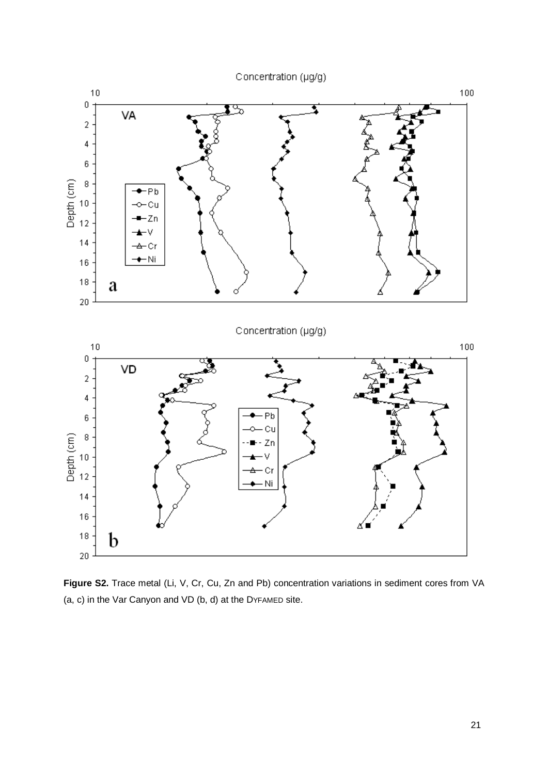



**Figure S2.** Trace metal (Li, V, Cr, Cu, Zn and Pb) concentration variations in sediment cores from VA (a, c) in the Var Canyon and VD (b, d) at the DYFAMED site.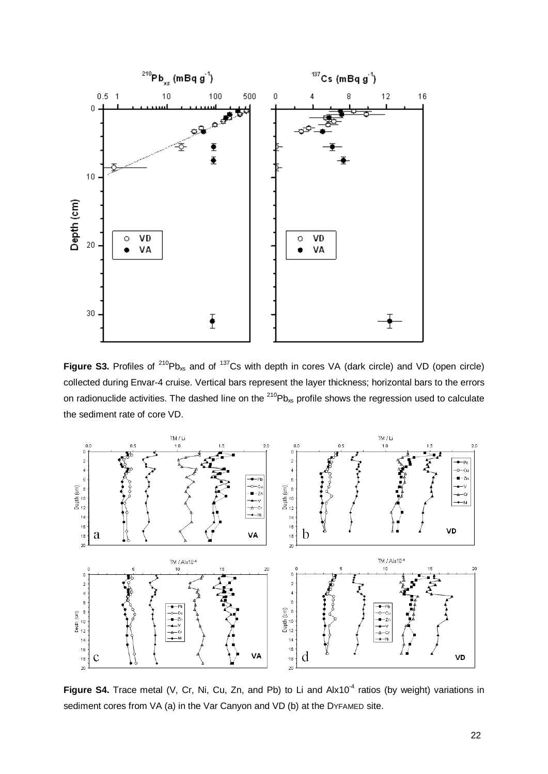

**Figure S3.** Profiles of <sup>210</sup>Pb<sub>xs</sub> and of <sup>137</sup>Cs with depth in cores VA (dark circle) and VD (open circle) collected during Envar-4 cruise. Vertical bars represent the layer thickness; horizontal bars to the errors on radionuclide activities. The dashed line on the  $^{210}Pb_{xs}$  profile shows the regression used to calculate the sediment rate of core VD.



Figure S4. Trace metal (V, Cr, Ni, Cu, Zn, and Pb) to Li and Alx10<sup>-4</sup> ratios (by weight) variations in sediment cores from VA (a) in the Var Canyon and VD (b) at the DYFAMED site.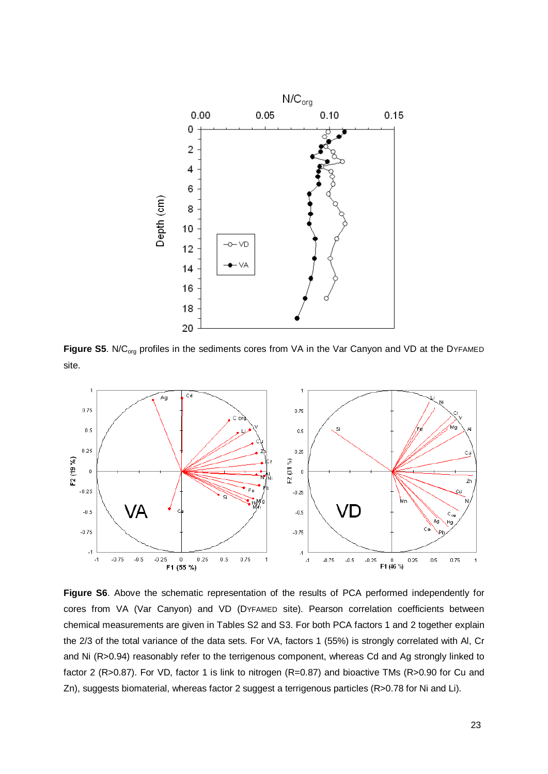

Figure S5. N/C<sub>org</sub> profiles in the sediments cores from VA in the Var Canyon and VD at the DYFAMED site.



**Figure S6**. Above the schematic representation of the results of PCA performed independently for cores from VA (Var Canyon) and VD (DYFAMED site). Pearson correlation coefficients between chemical measurements are given in Tables S2 and S3. For both PCA factors 1 and 2 together explain the 2/3 of the total variance of the data sets. For VA, factors 1 (55%) is strongly correlated with Al, Cr and Ni (R>0.94) reasonably refer to the terrigenous component, whereas Cd and Ag strongly linked to factor 2 (R>0.87). For VD, factor 1 is link to nitrogen (R=0.87) and bioactive TMs (R>0.90 for Cu and Zn), suggests biomaterial, whereas factor 2 suggest a terrigenous particles (R>0.78 for Ni and Li).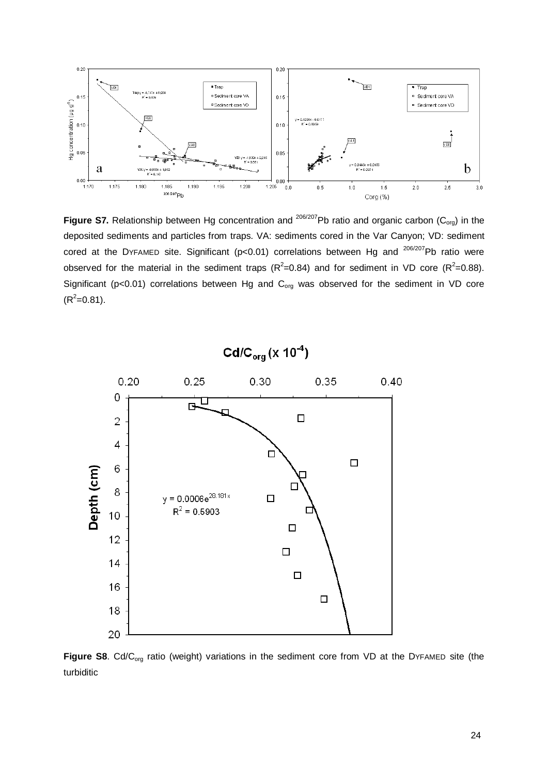

**Figure S7.** Relationship between Hg concentration and <sup>206/207</sup>Pb ratio and organic carbon (C<sub>org</sub>) in the deposited sediments and particles from traps. VA: sediments cored in the Var Canyon; VD: sediment cored at the DYFAMED site. Significant ( $p<0.01$ ) correlations between Hg and  $^{206/207}$ Pb ratio were observed for the material in the sediment traps ( $R^2$ =0.84) and for sediment in VD core ( $R^2$ =0.88). Significant ( $p<0.01$ ) correlations between Hg and  $C_{org}$  was observed for the sediment in VD core  $(R^2=0.81)$ .



Figure S8. Cd/C<sub>org</sub> ratio (weight) variations in the sediment core from VD at the DYFAMED site (the turbiditic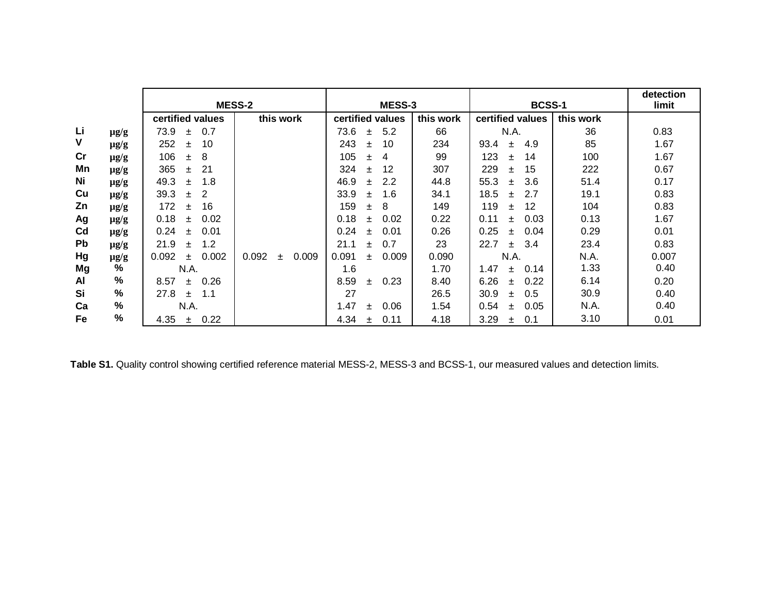|    |               | <b>MESS-2</b>            |                         | MESS-3                |           | <b>BCSS-1</b>        |           | detection<br>limit |
|----|---------------|--------------------------|-------------------------|-----------------------|-----------|----------------------|-----------|--------------------|
|    |               | certified values         | this work               | certified values      | this work | certified values     | this work |                    |
| Li | $\mu$ g/g     | 0.7<br>73.9<br>士         |                         | 73.6<br>5.2<br>±.     | 66        | N.A.                 | 36        | 0.83               |
| V  | $\mu$ g/g     | 252<br>10<br>士           |                         | 243<br>10<br>士        | 234       | 4.9<br>93.4<br>$\pm$ | 85        | 1.67               |
| cr | $\mu$ g/g     | 106<br>8<br>士            |                         | 105<br>4<br>士         | 99        | 123<br>14<br>士       | 100       | 1.67               |
| Mn | $\mu$ g/g     | 365<br>-21<br>$\pm$      |                         | 324<br>12<br>士        | 307       | 229<br>15<br>士       | 222       | 0.67               |
| Ni | $\mu$ g/g     | 1.8<br>49.3<br>$\pm$     |                         | 46.9<br>2.2<br>$\pm$  | 44.8      | 55.3<br>3.6<br>$\pm$ | 51.4      | 0.17               |
| Cu | $\mu$ g/g     | 39.3<br>$\pm$            |                         | 33.9<br>1.6<br>士      | 34.1      | 18.5<br>2.7<br>$+$   | 19.1      | 0.83               |
| Zn | $\mu$ g/g     | 172<br>16<br>Ŧ           |                         | 159<br>8<br>士         | 149       | 119<br>12<br>$\pm$   | 104       | 0.83               |
| Ag | $\mu$ g/g     | 0.02<br>0.18<br>÷.       |                         | 0.18<br>0.02<br>士     | 0.22      | 0.03<br>0.11<br>$+$  | 0.13      | 1.67               |
| Cd | $\mu$ g/g     | 0.24<br>0.01<br>÷.       |                         | 0.24<br>0.01<br>$\pm$ | 0.26      | 0.25<br>0.04<br>$+$  | 0.29      | 0.01               |
| Pb | $\mu$ g/g     | 1.2<br>21.9<br>Ŧ         |                         | 21.1<br>0.7<br>Ŧ      | 23        | 22.7<br>-3.4<br>$+$  | 23.4      | 0.83               |
| Hg | $\mu$ g/g     | 0.002<br>0.092<br>$\pm$  | 0.092<br>0.009<br>$\pm$ | 0.009<br>0.091<br>÷.  | 0.090     | N.A.                 | N.A.      | 0.007              |
| Mg | %             | N.A.                     |                         | 1.6                   | 1.70      | 1.47<br>0.14<br>$+$  | 1.33      | 0.40               |
| AI | $\frac{9}{6}$ | 0.26<br>8.57<br>÷.       |                         | 8.59<br>0.23<br>$\pm$ | 8.40      | 6.26<br>0.22<br>$+$  | 6.14      | 0.20               |
| Si | $\%$          | 27.8<br>1.1<br>$\ddot{}$ |                         | 27                    | 26.5      | 30.9<br>0.5<br>$+$   | 30.9      | 0.40               |
| Ca | %             | N.A.                     |                         | 1.47<br>0.06<br>Ŧ.    | 1.54      | 0.54<br>0.05<br>$+$  | N.A.      | 0.40               |
| Fe | %             | 0.22<br>4.35<br>士        |                         | 4.34<br>0.11<br>士     | 4.18      | 3.29<br>0.1<br>±.    | 3.10      | 0.01               |

**Table S1.** Quality control showing certified reference material MESS-2, MESS-3 and BCSS-1, our measured values and detection limits.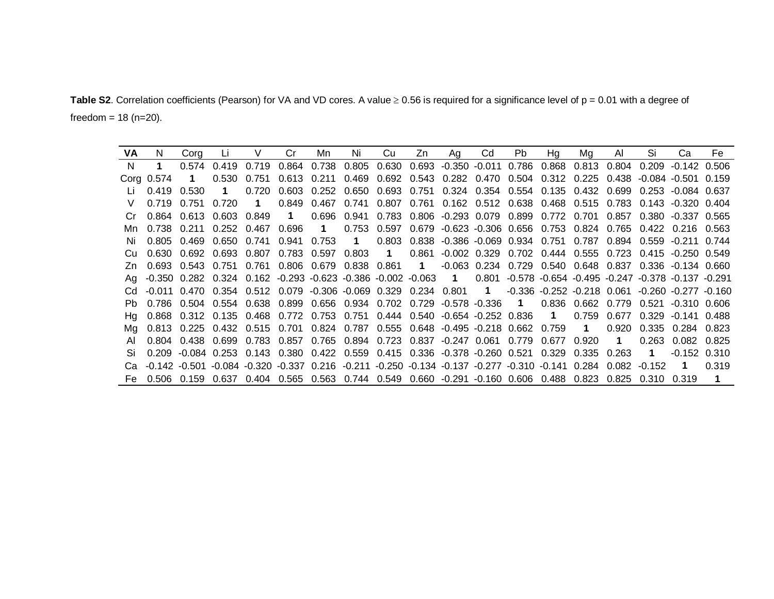Table S2. Correlation coefficients (Pearson) for VA and VD cores. A value  $\geq 0.56$  is required for a significance level of  $p = 0.01$  with a degree of freedom =  $18$  (n= $20$ ).

| VA. | N.          | Cora              |                           |                         | Cr | Mn | Ni t | Cu | Zn | Ag                                                                                                                      | Cd | Pb. | Hq | Ma | AL | Si | Ca                      | Fe    |
|-----|-------------|-------------------|---------------------------|-------------------------|----|----|------|----|----|-------------------------------------------------------------------------------------------------------------------------|----|-----|----|----|----|----|-------------------------|-------|
| N.  | $\mathbf 1$ | 0.574             | 0.419                     |                         |    |    |      |    |    | 0.719 0.864 0.738 0.805 0.630 0.693 -0.350 -0.011 0.786 0.868 0.813 0.804 0.209 -0.142 0.506                            |    |     |    |    |    |    |                         |       |
|     | Cora 0.574  | $\blacksquare$    |                           |                         |    |    |      |    |    | 0.530 0.751 0.613 0.211 0.469 0.692 0.543 0.282 0.470 0.504 0.312 0.225 0.438 -0.084 -0.501 0.159                       |    |     |    |    |    |    |                         |       |
|     | 0.419 0.530 |                   | $\blacksquare$            |                         |    |    |      |    |    | 0.720 0.603 0.252 0.650 0.693 0.751 0.324 0.354 0.554 0.135 0.432 0.699 0.253 -0.084 0.637                              |    |     |    |    |    |    |                         |       |
|     |             | 0.719 0.751 0.720 |                           | $\overline{\mathbf{1}}$ |    |    |      |    |    | 0.849 0.467 0.741 0.807 0.761 0.162 0.512 0.638 0.468 0.515 0.783 0.143 -0.320 0.404                                    |    |     |    |    |    |    |                         |       |
|     |             |                   | 0.864 0.613 0.603 0.849 1 |                         |    |    |      |    |    | 0.696 0.941 0.783 0.806 -0.293 0.079 0.899 0.772 0.701 0.857 0.380 -0.337 0.565                                         |    |     |    |    |    |    |                         |       |
|     |             |                   |                           |                         |    |    |      |    |    | 0.738 0.211 0.252 0.467 0.696 1 0.753 0.597 0.679 -0.623 -0.306 0.656 0.753 0.824 0.765 0.422 0.216 0.563               |    |     |    |    |    |    |                         |       |
|     |             |                   |                           |                         |    |    |      |    |    | 0.805 0.469 0.650 0.741 0.941 0.753 1 0.803 0.838 -0.386 -0.069 0.934 0.751 0.787 0.894 0.559 -0.211 0.744              |    |     |    |    |    |    |                         |       |
|     |             |                   |                           |                         |    |    |      |    |    | 0.630 0.692 0.693 0.807 0.783 0.597 0.803 1 0.861 -0.002 0.329 0.702 0.444 0.555 0.723 0.415 -0.250 0.549               |    |     |    |    |    |    |                         |       |
|     |             |                   |                           |                         |    |    |      |    |    | Zn 0.693 0.543 0.751 0.761 0.806 0.679 0.838 0.861 1 -0.063 0.234 0.729 0.540 0.648 0.837 0.336 -0.134 0.660            |    |     |    |    |    |    |                         |       |
|     |             |                   |                           |                         |    |    |      |    |    | Ag -0.350 0.282 0.324 0.162 -0.293 -0.623 -0.386 -0.002 -0.063 1 0.801 -0.578 -0.654 -0.495 -0.247 -0.378 -0.137 -0.291 |    |     |    |    |    |    |                         |       |
|     |             |                   |                           |                         |    |    |      |    |    | Cd -0.011 0.470 0.354 0.512 0.079 -0.306 -0.069 0.329 0.234 0.801 1 -0.336 -0.252 -0.218 0.061 -0.260 -0.277 -0.160     |    |     |    |    |    |    |                         |       |
|     |             |                   |                           |                         |    |    |      |    |    | 0.786 0.504 0.554 0.638 0.899 0.656 0.934 0.702 0.729 -0.578 -0.336 1 0.836 0.662 0.779 0.521 -0.310 0.606              |    |     |    |    |    |    |                         |       |
|     |             |                   |                           |                         |    |    |      |    |    | Hg 0.868 0.312 0.135 0.468 0.772 0.753 0.751 0.444 0.540 -0.654 -0.252 0.836 1 0.759 0.677 0.329 -0.141 0.488           |    |     |    |    |    |    |                         |       |
| Ma  |             |                   |                           |                         |    |    |      |    |    | 0.813 0.225 0.432 0.515 0.701 0.824 0.787 0.555 0.648 -0.495 -0.218 0.662 0.759 1                                       |    |     |    |    |    |    | 0.920 0.335 0.284 0.823 |       |
|     |             |                   |                           |                         |    |    |      |    |    | 0.804 0.438 0.699 0.783 0.857 0.765 0.894 0.723 0.837 -0.247 0.061 0.779 0.677 0.920 1                                  |    |     |    |    |    |    | 0.263 0.082 0.825       |       |
|     |             |                   |                           |                         |    |    |      |    |    | 0.209 -0.084 0.253 0.143 0.380 0.422 0.559 0.415 0.336 -0.378 -0.260 0.521 0.329 0.335 0.263  1                         |    |     |    |    |    |    | $-0.152$ $0.310$        |       |
|     |             |                   |                           |                         |    |    |      |    |    | Ca -0.142 -0.501 -0.084 -0.320 -0.337 0.216 -0.211 -0.250 -0.134 -0.137 -0.277 -0.310 -0.141 0.284 0.082 -0.152 1       |    |     |    |    |    |    |                         | 0.319 |
|     |             |                   |                           |                         |    |    |      |    |    | Fe 0.506 0.159 0.637 0.404 0.565 0.563 0.744 0.549 0.660 -0.291 -0.160 0.606 0.488 0.823 0.825 0.310 0.319 1            |    |     |    |    |    |    |                         |       |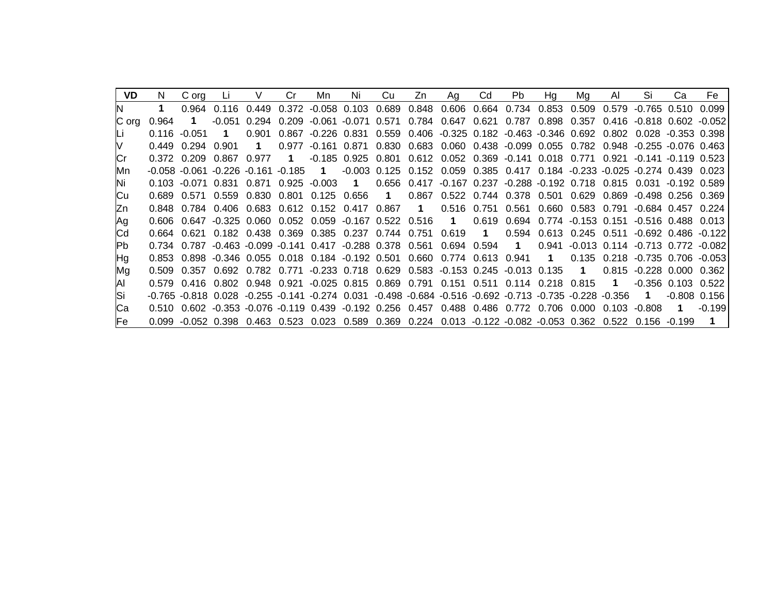| VD.    | N.      | C org  |              |                                          | Cr.         | Mn.                                                                                                    | Ni                   | Cu.            | Zn               | Aa               | Cd               | Pb.                                                      | Ha                      | Ma                      | AI             | Si                                                                                                   | Ca                       | Fe     |
|--------|---------|--------|--------------|------------------------------------------|-------------|--------------------------------------------------------------------------------------------------------|----------------------|----------------|------------------|------------------|------------------|----------------------------------------------------------|-------------------------|-------------------------|----------------|------------------------------------------------------------------------------------------------------|--------------------------|--------|
|        |         | 0.964  | 0.116        | 0.449                                    |             | $0.372 -0.058$ 0.103                                                                                   |                      | 0.689          | 0.848            | 0.606            |                  | 0.664 0.734                                              | 0.853                   | 0.509                   |                | 0.579 -0.765 0.510 0.099                                                                             |                          |        |
| IC ora | 0.964   | 1.     | $-0.051$     | 0.294                                    | 0.209       | -0.061 -0.071 0.571                                                                                    |                      |                |                  |                  |                  | 0.784  0.647  0.621  0.787  0.898  0.357                 |                         |                         |                | 0.416 -0.818 0.602 -0.052                                                                            |                          |        |
|        | 0.116   | -0.051 | 1            | 0.901                                    | 0.867       | $-0.226$ $0.831$                                                                                       |                      |                |                  |                  |                  |                                                          |                         |                         |                | 0.559 0.406 -0.325 0.182 -0.463 -0.346 0.692 0.802 0.028 -0.353 0.398                                |                          |        |
|        | በ 449   | በ 294  | _0.901       | $\mathbf 1$                              | 0.977       | $-0.161$ $0.871$                                                                                       |                      |                |                  |                  |                  |                                                          |                         |                         |                | 0.830 0.683 0.060 0.438 -0.099 0.055 0.782 0.948 -0.255 -0.076 0.463                                 |                          |        |
|        | 0.372   | 0.209  | 0.867        | 0.977                                    | $\mathbf 1$ |                                                                                                        | $-0.185$ 0.925 0.801 |                |                  |                  |                  |                                                          |                         |                         |                | 0.612 0.052 0.369 -0.141 0.018 0.771 0.921 -0.141 -0.119 0.523                                       |                          |        |
| Mn.    |         |        |              | $-0.058 - 0.061 - 0.226 - 0.161 - 0.185$ |             | $\blacksquare$ 1                                                                                       |                      | $-0.003$ 0.125 |                  |                  |                  |                                                          |                         |                         |                | $0.152$ $0.059$ $0.385$ $0.417$ $0.184$ $-0.233$ $-0.025$ $-0.274$ $0.439$ $0.023$                   |                          |        |
| ΙNί    | 0.103   |        | -0.071 0.831 | 0.871                                    |             | $0.925 - 0.003$                                                                                        | $\blacksquare$ 1     | 0.656          |                  |                  |                  |                                                          |                         |                         |                | 0.417 -0.167 0.237 -0.288 -0.192 0.718 0.815 0.031 -0.192 0.589                                      |                          |        |
| Сu     | 0.689   |        | 0.571 0.559  | 0.830                                    | 0.801       | 0.125 0.656                                                                                            |                      | $\blacksquare$ | 0.867            |                  |                  |                                                          |                         |                         |                | 0.522 0.744 0.378 0.501 0.629 0.869 -0.498 0.256 0.369                                               |                          |        |
| ΙZη    |         |        |              | 0.784  0.406  0.683  0.612               |             | 0.152 0.417 0.867                                                                                      |                      |                | $\blacksquare$ 1 | 0.516            | 0.751            | 0.561                                                    |                         | 0.660  0.583  0.791     |                | -0.684 0.457 0.224                                                                                   |                          |        |
| Ag     | 0.606   | 0.647  |              |                                          |             | -0.325  0.060  0.052  0.059  -0.167  0.522  0.516                                                      |                      |                |                  | $\blacksquare$ 1 | 0.619            | 0.694                                                    |                         |                         |                | 0.774 -0.153 0.151 -0.516 0.488 0.013                                                                |                          |        |
| Сd     | 0 664 - |        |              |                                          |             | 0.621  0.182  0.438  0.369  0.385  0.237  0.744  0.751  0.619                                          |                      |                |                  |                  | $\blacksquare$ 1 | 0.594                                                    |                         |                         |                | 0.613 0.245 0.511 -0.692 0.486 -0.122                                                                |                          |        |
| lPb.   |         |        |              |                                          |             | 0.734 0.787 -0.463 -0.099 -0.141 0.417 -0.288 0.378 0.561 0.694 0.594                                  |                      |                |                  |                  |                  | $\overline{\mathbf{1}}$                                  | 0.941                   |                         |                | $-0.013$ 0.114 $-0.713$ 0.772 $-0.082$                                                               |                          |        |
| Hg     | 0 853   |        |              |                                          |             | 0.898 -0.346 0.055 0.018 0.184 -0.192 0.501 0.660 0.774 0.613 0.941                                    |                      |                |                  |                  |                  |                                                          | $\overline{\mathbf{1}}$ | 0.135                   |                | 0.218 -0.735 0.706 -0.053                                                                            |                          |        |
| Mg     | 0.509   | በ 357  | 0.692        | 0.782 0.771                              |             |                                                                                                        |                      |                |                  |                  |                  | $-0.233$ 0.718 0.629 0.583 $-0.153$ 0.245 $-0.013$ 0.135 |                         | $\overline{\mathbf{1}}$ |                | 0.815 -0.228 0.000                                                                                   |                          | _0.362 |
| ΙAΙ    | 0.579   | 0.416  |              | 0.802 0.948 0.921                        |             |                                                                                                        |                      |                |                  |                  |                  | -0.025 0.815 0.869 0.791 0.151 0.511 0.114 0.218 0.815   |                         |                         | $\blacksquare$ |                                                                                                      | $-0.356$ $0.103$ $0.522$ |        |
| Si     |         |        |              |                                          |             | -0.765 -0.818 0.028 -0.255 -0.141 -0.274 0.031 -0.498 -0.684 -0.516 -0.692 -0.713 -0.735 -0.228 -0.356 |                      |                |                  |                  |                  |                                                          |                         |                         |                | $\mathbf 1$                                                                                          | $-0.808$ 0.156           |        |
| Cа     | 0.510 L |        |              |                                          |             | 0.602 -0.353 -0.076 -0.119 0.439 -0.192 0.256 0.457 0.488 0.486 0.772 0.706                            |                      |                |                  |                  |                  |                                                          |                         | - 0.000 -               | <u>በ 1በ3</u>   | -0.808                                                                                               | $\mathbf{1}$             | -0 199 |
| lFe i  | 0.099   |        |              |                                          |             |                                                                                                        |                      |                |                  |                  |                  |                                                          |                         |                         |                | -0.052 0.398 0.463 0.523 0.023 0.589 0.369 0.224 0.013 -0.122 -0.082 -0.053 0.362 0.522 0.156 -0.199 |                          |        |